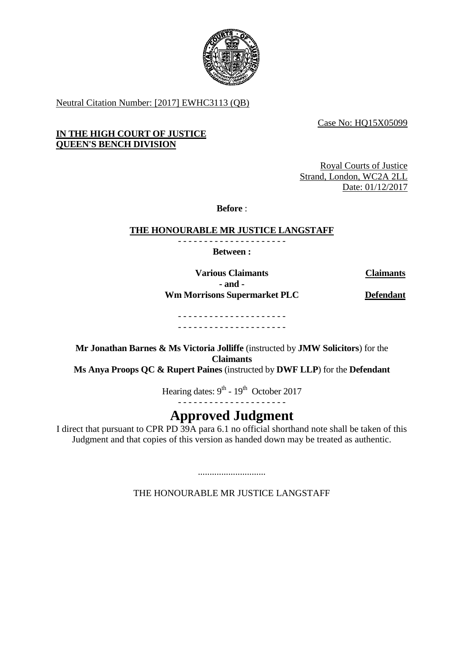

Neutral Citation Number: [2017] EWHC3113 (QB)

Case No: HQ15X05099

# **IN THE HIGH COURT OF JUSTICE QUEEN'S BENCH DIVISION**

Royal Courts of Justice Strand, London, WC2A 2LL Date: 01/12/2017

**Before** :

#### **THE HONOURABLE MR JUSTICE LANGSTAFF** - - - - - - - - - - - - - - - - - - - - -

**Between :**

**Various Claimants Claimants - and - Wm** Morrisons Supermarket PLC **Defendant** 

- - - - - - - - - - - - - - - - - - - - - - - - - - - - - - - - - - - - - - - - - -

**Mr Jonathan Barnes & Ms Victoria Jolliffe** (instructed by **JMW Solicitors**) for the **Claimants Ms Anya Proops QC & Rupert Paines** (instructed by **DWF LLP**) for the **Defendant**

Hearing dates:  $9^{th}$  -  $19^{th}$  October 2017

- - - - - - - - - - - - - - - - - - - - -

# **Approved Judgment**

I direct that pursuant to CPR PD 39A para 6.1 no official shorthand note shall be taken of this Judgment and that copies of this version as handed down may be treated as authentic.

THE HONOURABLE MR JUSTICE LANGSTAFF

.............................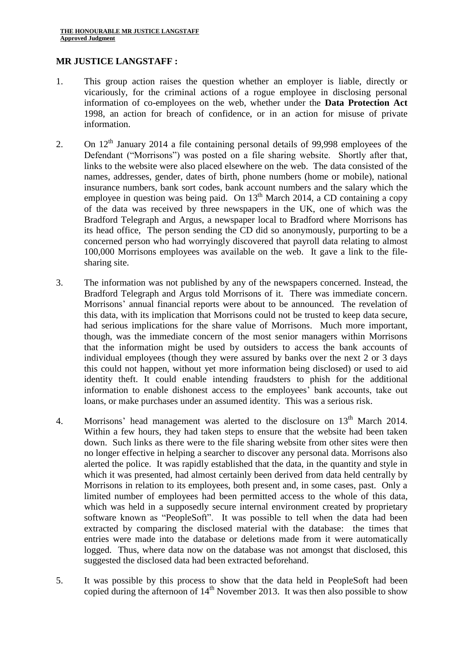### **MR JUSTICE LANGSTAFF :**

- 1. This group action raises the question whether an employer is liable, directly or vicariously, for the criminal actions of a rogue employee in disclosing personal information of co-employees on the web, whether under the **Data Protection Act** 1998, an action for breach of confidence, or in an action for misuse of private information.
- 2. On  $12<sup>th</sup>$  January 2014 a file containing personal details of 99,998 employees of the Defendant ("Morrisons") was posted on a file sharing website. Shortly after that, links to the website were also placed elsewhere on the web. The data consisted of the names, addresses, gender, dates of birth, phone numbers (home or mobile), national insurance numbers, bank sort codes, bank account numbers and the salary which the employee in question was being paid. On  $13<sup>th</sup>$  March 2014, a CD containing a copy of the data was received by three newspapers in the UK, one of which was the Bradford Telegraph and Argus, a newspaper local to Bradford where Morrisons has its head office, The person sending the CD did so anonymously, purporting to be a concerned person who had worryingly discovered that payroll data relating to almost 100,000 Morrisons employees was available on the web. It gave a link to the filesharing site.
- 3. The information was not published by any of the newspapers concerned. Instead, the Bradford Telegraph and Argus told Morrisons of it. There was immediate concern. Morrisons' annual financial reports were about to be announced. The revelation of this data, with its implication that Morrisons could not be trusted to keep data secure, had serious implications for the share value of Morrisons. Much more important, though, was the immediate concern of the most senior managers within Morrisons that the information might be used by outsiders to access the bank accounts of individual employees (though they were assured by banks over the next 2 or 3 days this could not happen, without yet more information being disclosed) or used to aid identity theft. It could enable intending fraudsters to phish for the additional information to enable dishonest access to the employees' bank accounts, take out loans, or make purchases under an assumed identity. This was a serious risk.
- 4. Morrisons' head management was alerted to the disclosure on  $13<sup>th</sup>$  March 2014. Within a few hours, they had taken steps to ensure that the website had been taken down. Such links as there were to the file sharing website from other sites were then no longer effective in helping a searcher to discover any personal data. Morrisons also alerted the police. It was rapidly established that the data, in the quantity and style in which it was presented, had almost certainly been derived from data held centrally by Morrisons in relation to its employees, both present and, in some cases, past. Only a limited number of employees had been permitted access to the whole of this data, which was held in a supposedly secure internal environment created by proprietary software known as "PeopleSoft". It was possible to tell when the data had been extracted by comparing the disclosed material with the database: the times that entries were made into the database or deletions made from it were automatically logged. Thus, where data now on the database was not amongst that disclosed, this suggested the disclosed data had been extracted beforehand.
- 5. It was possible by this process to show that the data held in PeopleSoft had been copied during the afternoon of  $14<sup>th</sup>$  November 2013. It was then also possible to show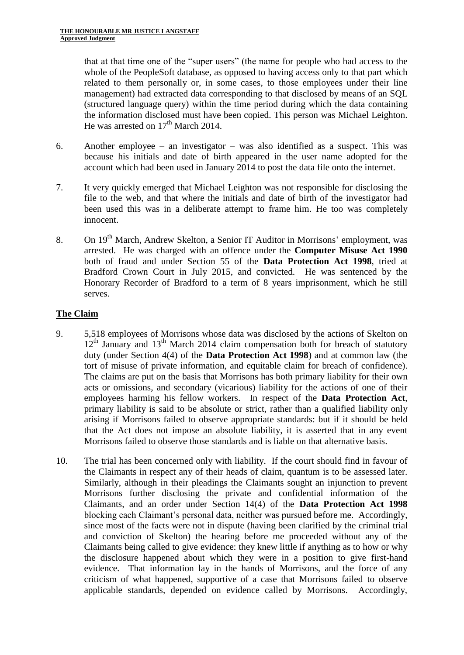that at that time one of the "super users" (the name for people who had access to the whole of the PeopleSoft database, as opposed to having access only to that part which related to them personally or, in some cases, to those employees under their line management) had extracted data corresponding to that disclosed by means of an SQL (structured language query) within the time period during which the data containing the information disclosed must have been copied. This person was Michael Leighton. He was arrested on  $17<sup>th</sup>$  March 2014.

- 6. Another employee an investigator was also identified as a suspect. This was because his initials and date of birth appeared in the user name adopted for the account which had been used in January 2014 to post the data file onto the internet.
- 7. It very quickly emerged that Michael Leighton was not responsible for disclosing the file to the web, and that where the initials and date of birth of the investigator had been used this was in a deliberate attempt to frame him. He too was completely innocent.
- 8. On 19<sup>th</sup> March, Andrew Skelton, a Senior IT Auditor in Morrisons' employment, was arrested. He was charged with an offence under the **Computer Misuse Act 1990** both of fraud and under Section 55 of the **Data Protection Act 1998**, tried at Bradford Crown Court in July 2015, and convicted. He was sentenced by the Honorary Recorder of Bradford to a term of 8 years imprisonment, which he still serves.

# **The Claim**

- 9. 5,518 employees of Morrisons whose data was disclosed by the actions of Skelton on  $12<sup>th</sup>$  January and  $13<sup>th</sup>$  March 2014 claim compensation both for breach of statutory duty (under Section 4(4) of the **Data Protection Act 1998**) and at common law (the tort of misuse of private information, and equitable claim for breach of confidence). The claims are put on the basis that Morrisons has both primary liability for their own acts or omissions, and secondary (vicarious) liability for the actions of one of their employees harming his fellow workers. In respect of the **Data Protection Act**, primary liability is said to be absolute or strict, rather than a qualified liability only arising if Morrisons failed to observe appropriate standards: but if it should be held that the Act does not impose an absolute liability, it is asserted that in any event Morrisons failed to observe those standards and is liable on that alternative basis.
- 10. The trial has been concerned only with liability. If the court should find in favour of the Claimants in respect any of their heads of claim, quantum is to be assessed later. Similarly, although in their pleadings the Claimants sought an injunction to prevent Morrisons further disclosing the private and confidential information of the Claimants, and an order under Section 14(4) of the **Data Protection Act 1998** blocking each Claimant's personal data, neither was pursued before me. Accordingly, since most of the facts were not in dispute (having been clarified by the criminal trial and conviction of Skelton) the hearing before me proceeded without any of the Claimants being called to give evidence: they knew little if anything as to how or why the disclosure happened about which they were in a position to give first-hand evidence. That information lay in the hands of Morrisons, and the force of any criticism of what happened, supportive of a case that Morrisons failed to observe applicable standards, depended on evidence called by Morrisons. Accordingly,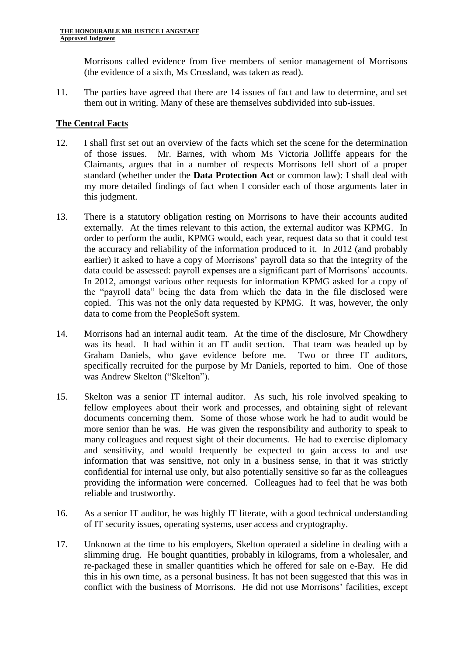Morrisons called evidence from five members of senior management of Morrisons (the evidence of a sixth, Ms Crossland, was taken as read).

11. The parties have agreed that there are 14 issues of fact and law to determine, and set them out in writing. Many of these are themselves subdivided into sub-issues.

## **The Central Facts**

- 12. I shall first set out an overview of the facts which set the scene for the determination of those issues. Mr. Barnes, with whom Ms Victoria Jolliffe appears for the Claimants, argues that in a number of respects Morrisons fell short of a proper standard (whether under the **Data Protection Act** or common law): I shall deal with my more detailed findings of fact when I consider each of those arguments later in this judgment.
- 13. There is a statutory obligation resting on Morrisons to have their accounts audited externally. At the times relevant to this action, the external auditor was KPMG. In order to perform the audit, KPMG would, each year, request data so that it could test the accuracy and reliability of the information produced to it. In 2012 (and probably earlier) it asked to have a copy of Morrisons' payroll data so that the integrity of the data could be assessed: payroll expenses are a significant part of Morrisons' accounts. In 2012, amongst various other requests for information KPMG asked for a copy of the "payroll data" being the data from which the data in the file disclosed were copied. This was not the only data requested by KPMG. It was, however, the only data to come from the PeopleSoft system.
- 14. Morrisons had an internal audit team. At the time of the disclosure, Mr Chowdhery was its head. It had within it an IT audit section. That team was headed up by Graham Daniels, who gave evidence before me. Two or three IT auditors, specifically recruited for the purpose by Mr Daniels, reported to him. One of those was Andrew Skelton ("Skelton").
- 15. Skelton was a senior IT internal auditor. As such, his role involved speaking to fellow employees about their work and processes, and obtaining sight of relevant documents concerning them. Some of those whose work he had to audit would be more senior than he was. He was given the responsibility and authority to speak to many colleagues and request sight of their documents. He had to exercise diplomacy and sensitivity, and would frequently be expected to gain access to and use information that was sensitive, not only in a business sense, in that it was strictly confidential for internal use only, but also potentially sensitive so far as the colleagues providing the information were concerned. Colleagues had to feel that he was both reliable and trustworthy.
- 16. As a senior IT auditor, he was highly IT literate, with a good technical understanding of IT security issues, operating systems, user access and cryptography.
- 17. Unknown at the time to his employers, Skelton operated a sideline in dealing with a slimming drug. He bought quantities, probably in kilograms, from a wholesaler, and re-packaged these in smaller quantities which he offered for sale on e-Bay. He did this in his own time, as a personal business. It has not been suggested that this was in conflict with the business of Morrisons. He did not use Morrisons' facilities, except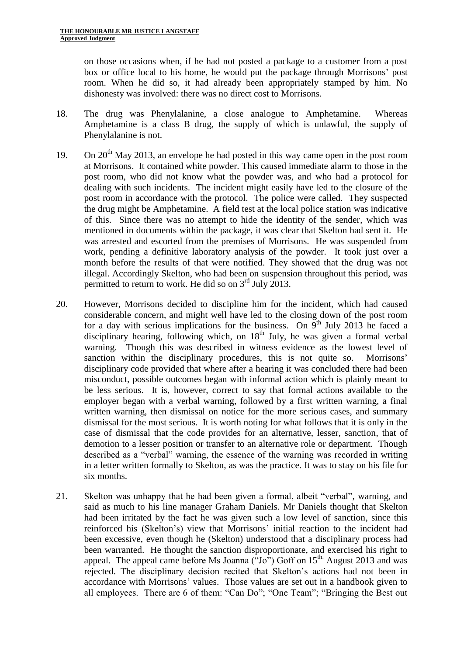on those occasions when, if he had not posted a package to a customer from a post box or office local to his home, he would put the package through Morrisons' post room. When he did so, it had already been appropriately stamped by him. No dishonesty was involved: there was no direct cost to Morrisons.

- 18. The drug was Phenylalanine, a close analogue to Amphetamine. Whereas Amphetamine is a class B drug, the supply of which is unlawful, the supply of Phenylalanine is not.
- 19. On  $20<sup>th</sup>$  May 2013, an envelope he had posted in this way came open in the post room at Morrisons. It contained white powder. This caused immediate alarm to those in the post room, who did not know what the powder was, and who had a protocol for dealing with such incidents. The incident might easily have led to the closure of the post room in accordance with the protocol. The police were called. They suspected the drug might be Amphetamine. A field test at the local police station was indicative of this. Since there was no attempt to hide the identity of the sender, which was mentioned in documents within the package, it was clear that Skelton had sent it. He was arrested and escorted from the premises of Morrisons. He was suspended from work, pending a definitive laboratory analysis of the powder. It took just over a month before the results of that were notified. They showed that the drug was not illegal. Accordingly Skelton, who had been on suspension throughout this period, was permitted to return to work. He did so on  $3<sup>rd</sup>$  July 2013.
- 20. However, Morrisons decided to discipline him for the incident, which had caused considerable concern, and might well have led to the closing down of the post room for a day with serious implications for the business. On  $\overline{9}^{th}$  July 2013 he faced a disciplinary hearing, following which, on  $18<sup>th</sup>$  July, he was given a formal verbal warning. Though this was described in witness evidence as the lowest level of sanction within the disciplinary procedures, this is not quite so. Morrisons' disciplinary code provided that where after a hearing it was concluded there had been misconduct, possible outcomes began with informal action which is plainly meant to be less serious. It is, however, correct to say that formal actions available to the employer began with a verbal warning, followed by a first written warning, a final written warning, then dismissal on notice for the more serious cases, and summary dismissal for the most serious. It is worth noting for what follows that it is only in the case of dismissal that the code provides for an alternative, lesser, sanction, that of demotion to a lesser position or transfer to an alternative role or department. Though described as a "verbal" warning, the essence of the warning was recorded in writing in a letter written formally to Skelton, as was the practice. It was to stay on his file for six months.
- 21. Skelton was unhappy that he had been given a formal, albeit "verbal", warning, and said as much to his line manager Graham Daniels. Mr Daniels thought that Skelton had been irritated by the fact he was given such a low level of sanction, since this reinforced his (Skelton's) view that Morrisons' initial reaction to the incident had been excessive, even though he (Skelton) understood that a disciplinary process had been warranted. He thought the sanction disproportionate, and exercised his right to appeal. The appeal came before Ms Joanna  $({}^{0}$ Jo") Goff on  $15^{\text{th}}$ . August 2013 and was rejected. The disciplinary decision recited that Skelton's actions had not been in accordance with Morrisons' values. Those values are set out in a handbook given to all employees. There are 6 of them: "Can Do"; "One Team"; "Bringing the Best out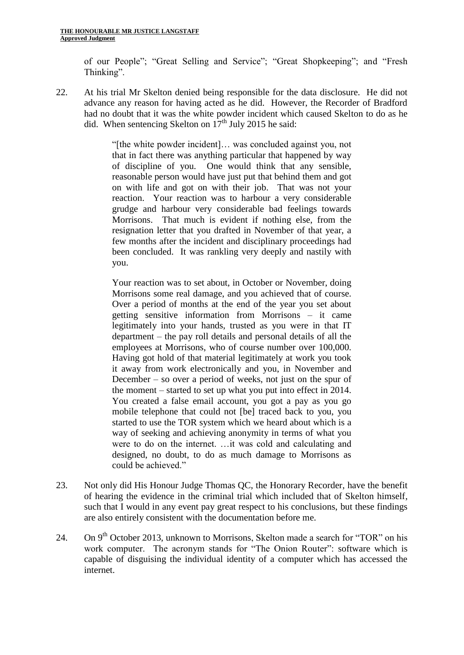of our People"; "Great Selling and Service"; "Great Shopkeeping"; and "Fresh Thinking".

22. At his trial Mr Skelton denied being responsible for the data disclosure. He did not advance any reason for having acted as he did. However, the Recorder of Bradford had no doubt that it was the white powder incident which caused Skelton to do as he did. When sentencing Skelton on  $17<sup>th</sup>$  July 2015 he said:

> "[the white powder incident]… was concluded against you, not that in fact there was anything particular that happened by way of discipline of you. One would think that any sensible, reasonable person would have just put that behind them and got on with life and got on with their job. That was not your reaction. Your reaction was to harbour a very considerable grudge and harbour very considerable bad feelings towards Morrisons. That much is evident if nothing else, from the resignation letter that you drafted in November of that year, a few months after the incident and disciplinary proceedings had been concluded. It was rankling very deeply and nastily with you.

> Your reaction was to set about, in October or November, doing Morrisons some real damage, and you achieved that of course. Over a period of months at the end of the year you set about getting sensitive information from Morrisons – it came legitimately into your hands, trusted as you were in that IT department – the pay roll details and personal details of all the employees at Morrisons, who of course number over 100,000. Having got hold of that material legitimately at work you took it away from work electronically and you, in November and December – so over a period of weeks, not just on the spur of the moment – started to set up what you put into effect in 2014. You created a false email account, you got a pay as you go mobile telephone that could not [be] traced back to you, you started to use the TOR system which we heard about which is a way of seeking and achieving anonymity in terms of what you were to do on the internet. …it was cold and calculating and designed, no doubt, to do as much damage to Morrisons as could be achieved."

- 23. Not only did His Honour Judge Thomas QC, the Honorary Recorder, have the benefit of hearing the evidence in the criminal trial which included that of Skelton himself, such that I would in any event pay great respect to his conclusions, but these findings are also entirely consistent with the documentation before me.
- 24. On  $9<sup>th</sup>$  October 2013, unknown to Morrisons, Skelton made a search for "TOR" on his work computer. The acronym stands for "The Onion Router": software which is capable of disguising the individual identity of a computer which has accessed the internet.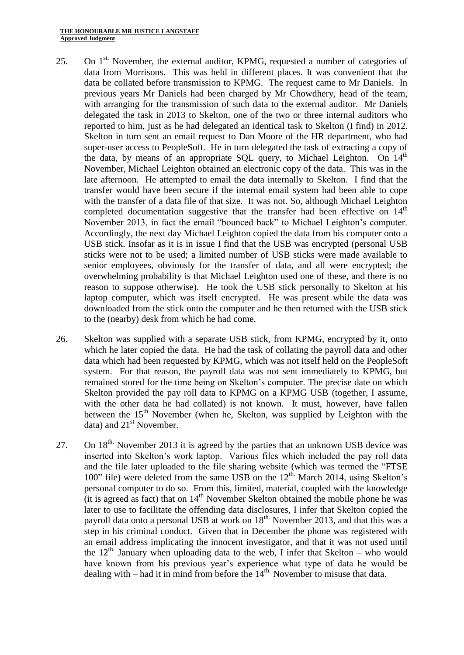- 25. On 1<sup>st.</sup> November, the external auditor, KPMG, requested a number of categories of data from Morrisons. This was held in different places. It was convenient that the data be collated before transmission to KPMG. The request came to Mr Daniels. In previous years Mr Daniels had been charged by Mr Chowdhery, head of the team, with arranging for the transmission of such data to the external auditor. Mr Daniels delegated the task in 2013 to Skelton, one of the two or three internal auditors who reported to him, just as he had delegated an identical task to Skelton (I find) in 2012. Skelton in turn sent an email request to Dan Moore of the HR department, who had super-user access to PeopleSoft. He in turn delegated the task of extracting a copy of the data, by means of an appropriate SQL query, to Michael Leighton. On  $14<sup>th</sup>$ November, Michael Leighton obtained an electronic copy of the data. This was in the late afternoon. He attempted to email the data internally to Skelton. I find that the transfer would have been secure if the internal email system had been able to cope with the transfer of a data file of that size. It was not. So, although Michael Leighton completed documentation suggestive that the transfer had been effective on  $14<sup>th</sup>$ November 2013, in fact the email "bounced back" to Michael Leighton's computer. Accordingly, the next day Michael Leighton copied the data from his computer onto a USB stick. Insofar as it is in issue I find that the USB was encrypted (personal USB sticks were not to be used; a limited number of USB sticks were made available to senior employees, obviously for the transfer of data, and all were encrypted; the overwhelming probability is that Michael Leighton used one of these, and there is no reason to suppose otherwise). He took the USB stick personally to Skelton at his laptop computer, which was itself encrypted. He was present while the data was downloaded from the stick onto the computer and he then returned with the USB stick to the (nearby) desk from which he had come.
- 26. Skelton was supplied with a separate USB stick, from KPMG, encrypted by it, onto which he later copied the data. He had the task of collating the payroll data and other data which had been requested by KPMG, which was not itself held on the PeopleSoft system. For that reason, the payroll data was not sent immediately to KPMG, but remained stored for the time being on Skelton's computer. The precise date on which Skelton provided the pay roll data to KPMG on a KPMG USB (together, I assume, with the other data he had collated) is not known. It must, however, have fallen between the  $15<sup>th</sup>$  November (when he, Skelton, was supplied by Leighton with the data) and  $21<sup>st</sup>$  November.
- 27. On  $18^{th}$ . November 2013 it is agreed by the parties that an unknown USB device was inserted into Skelton's work laptop. Various files which included the pay roll data and the file later uploaded to the file sharing website (which was termed the "FTSE 100" file) were deleted from the same USB on the 12<sup>th.</sup> March 2014, using Skelton's personal computer to do so. From this, limited, material, coupled with the knowledge  $\mu$  (it is agreed as fact) that on  $14<sup>th</sup>$  November Skelton obtained the mobile phone he was later to use to facilitate the offending data disclosures, I infer that Skelton copied the payroll data onto a personal USB at work on 18<sup>th.</sup> November 2013, and that this was a step in his criminal conduct. Given that in December the phone was registered with an email address implicating the innocent investigator, and that it was not used until the  $12<sup>th</sup>$  January when uploading data to the web, I infer that Skelton – who would have known from his previous year's experience what type of data he would be dealing with – had it in mind from before the  $14<sup>th</sup>$ . November to misuse that data.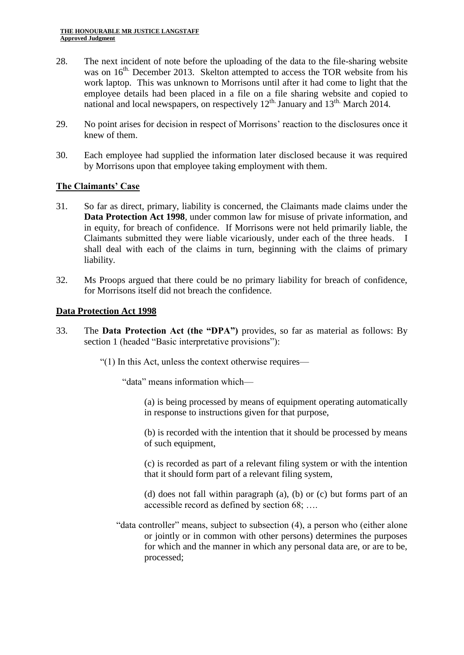- 28. The next incident of note before the uploading of the data to the file-sharing website was on  $16<sup>th</sup>$ . December 2013. Skelton attempted to access the TOR website from his work laptop. This was unknown to Morrisons until after it had come to light that the employee details had been placed in a file on a file sharing website and copied to national and local newspapers, on respectively  $12<sup>th</sup>$  January and  $13<sup>th</sup>$  March 2014.
- 29. No point arises for decision in respect of Morrisons' reaction to the disclosures once it knew of them.
- 30. Each employee had supplied the information later disclosed because it was required by Morrisons upon that employee taking employment with them.

## **The Claimants' Case**

- 31. So far as direct, primary, liability is concerned, the Claimants made claims under the **Data Protection Act 1998**, under common law for misuse of private information, and in equity, for breach of confidence. If Morrisons were not held primarily liable, the Claimants submitted they were liable vicariously, under each of the three heads. I shall deal with each of the claims in turn, beginning with the claims of primary liability.
- 32. Ms Proops argued that there could be no primary liability for breach of confidence, for Morrisons itself did not breach the confidence.

## **Data Protection Act 1998**

33. The **Data Protection Act (the "DPA")** provides, so far as material as follows: By section 1 (headed "Basic interpretative provisions"):

"(1) In this Act, unless the context otherwise requires—

"data" means information which—

(a) is being processed by means of equipment operating automatically in response to instructions given for that purpose,

(b) is recorded with the intention that it should be processed by means of such equipment,

(c) is recorded as part of a relevant filing system or with the intention that it should form part of a relevant filing system,

(d) does not fall within paragraph (a), (b) or (c) but forms part of an accessible record as defined by section 68; ….

"data controller" means, subject to subsection (4), a person who (either alone or jointly or in common with other persons) determines the purposes for which and the manner in which any personal data are, or are to be, processed;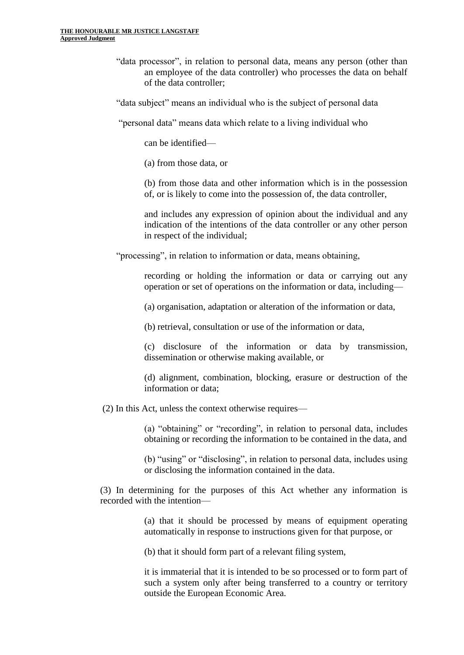"data processor", in relation to personal data, means any person (other than an employee of the data controller) who processes the data on behalf of the data controller;

"data subject" means an individual who is the subject of personal data

"personal data" means data which relate to a living individual who

can be identified—

(a) from those data, or

(b) from those data and other information which is in the possession of, or is likely to come into the possession of, the data controller,

and includes any expression of opinion about the individual and any indication of the intentions of the data controller or any other person in respect of the individual;

"processing", in relation to information or data, means obtaining,

recording or holding the information or data or carrying out any operation or set of operations on the information or data, including—

(a) organisation, adaptation or alteration of the information or data,

(b) retrieval, consultation or use of the information or data,

(c) disclosure of the information or data by transmission, dissemination or otherwise making available, or

(d) alignment, combination, blocking, erasure or destruction of the information or data;

(2) In this Act, unless the context otherwise requires—

(a) "obtaining" or "recording", in relation to personal data, includes obtaining or recording the information to be contained in the data, and

(b) "using" or "disclosing", in relation to personal data, includes using or disclosing the information contained in the data.

(3) In determining for the purposes of this Act whether any information is recorded with the intention—

> (a) that it should be processed by means of equipment operating automatically in response to instructions given for that purpose, or

(b) that it should form part of a relevant filing system,

it is immaterial that it is intended to be so processed or to form part of such a system only after being transferred to a country or territory outside the European Economic Area.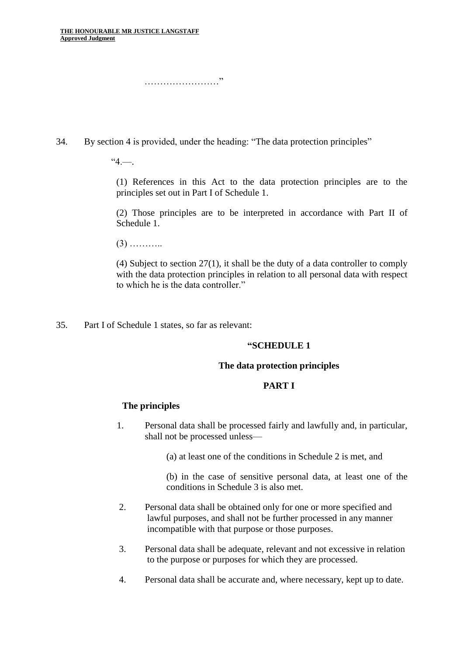……………………"

34. By section 4 is provided, under the heading: "The data protection principles"

 $"4$ .

(1) References in this Act to the data protection principles are to the principles set out in Part I of Schedule 1.

(2) Those principles are to be interpreted in accordance with Part II of Schedule 1.

(3) ………..

(4) Subject to section 27(1), it shall be the duty of a data controller to comply with the data protection principles in relation to all personal data with respect to which he is the data controller."

35. Part I of Schedule 1 states, so far as relevant:

#### **"SCHEDULE 1**

#### **The data protection principles**

#### **PART I**

#### **The principles**

- 1. Personal data shall be processed fairly and lawfully and, in particular, shall not be processed unless—
	- (a) at least one of the conditions in Schedule 2 is met, and

(b) in the case of sensitive personal data, at least one of the conditions in Schedule 3 is also met.

- 2. Personal data shall be obtained only for one or more specified and lawful purposes, and shall not be further processed in any manner incompatible with that purpose or those purposes.
- 3. Personal data shall be adequate, relevant and not excessive in relation to the purpose or purposes for which they are processed.
- 4. Personal data shall be accurate and, where necessary, kept up to date.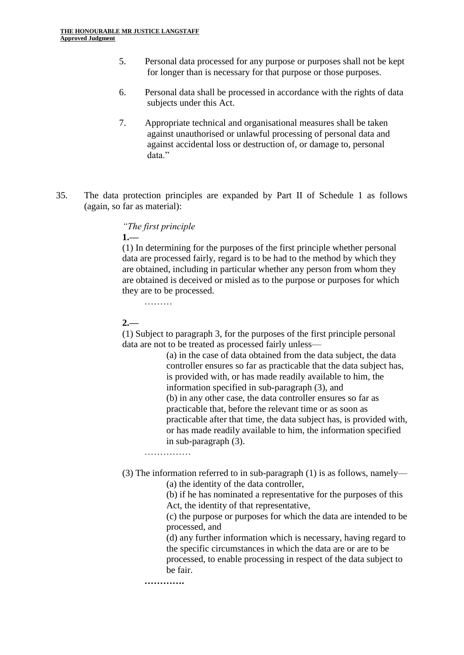- 5. Personal data processed for any purpose or purposes shall not be kept for longer than is necessary for that purpose or those purposes.
- 6. Personal data shall be processed in accordance with the rights of data subjects under this Act.
- 7. Appropriate technical and organisational measures shall be taken against unauthorised or unlawful processing of personal data and against accidental loss or destruction of, or damage to, personal data."
- 35. The data protection principles are expanded by Part II of Schedule 1 as follows (again, so far as material):

*"The first principle*

#### **1.—**

(1) In determining for the purposes of the first principle whether personal data are processed fairly, regard is to be had to the method by which they are obtained, including in particular whether any person from whom they are obtained is deceived or misled as to the purpose or purposes for which they are to be processed.

………

## **2.—**

(1) Subject to paragraph 3, for the purposes of the first principle personal data are not to be treated as processed fairly unless—

(a) in the case of data obtained from the data subject, the data controller ensures so far as practicable that the data subject has, is provided with, or has made readily available to him, the information specified in sub-paragraph (3), and (b) in any other case, the data controller ensures so far as practicable that, before the relevant time or as soon as practicable after that time, the data subject has, is provided with, or has made readily available to him, the information specified in sub-paragraph (3).

……………

(3) The information referred to in sub-paragraph (1) is as follows, namely— (a) the identity of the data controller,

> (b) if he has nominated a representative for the purposes of this Act, the identity of that representative,

(c) the purpose or purposes for which the data are intended to be processed, and

(d) any further information which is necessary, having regard to the specific circumstances in which the data are or are to be processed, to enable processing in respect of the data subject to be fair.

**………….**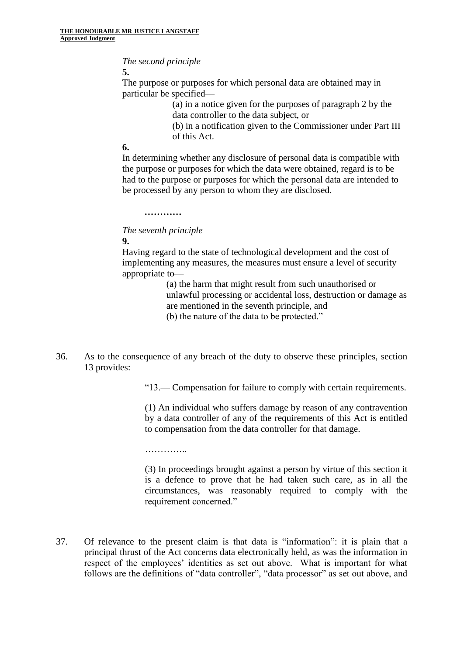#### *The second principle*

**5.**

The purpose or purposes for which personal data are obtained may in particular be specified—

> (a) in a notice given for the purposes of paragraph 2 by the data controller to the data subject, or

(b) in a notification given to the Commissioner under Part III of this Act.

#### **6.**

In determining whether any disclosure of personal data is compatible with the purpose or purposes for which the data were obtained, regard is to be had to the purpose or purposes for which the personal data are intended to be processed by any person to whom they are disclosed.

**…………**

*The seventh principle*

**9.**

Having regard to the state of technological development and the cost of implementing any measures, the measures must ensure a level of security appropriate to—

> (a) the harm that might result from such unauthorised or unlawful processing or accidental loss, destruction or damage as are mentioned in the seventh principle, and

(b) the nature of the data to be protected."

36. As to the consequence of any breach of the duty to observe these principles, section 13 provides:

"13.— Compensation for failure to comply with certain requirements.

(1) An individual who suffers damage by reason of any contravention by a data controller of any of the requirements of this Act is entitled to compensation from the data controller for that damage.

………………

(3) In proceedings brought against a person by virtue of this section it is a defence to prove that he had taken such care, as in all the circumstances, was reasonably required to comply with the requirement concerned."

37. Of relevance to the present claim is that data is "information": it is plain that a principal thrust of the Act concerns data electronically held, as was the information in respect of the employees' identities as set out above. What is important for what follows are the definitions of "data controller", "data processor" as set out above, and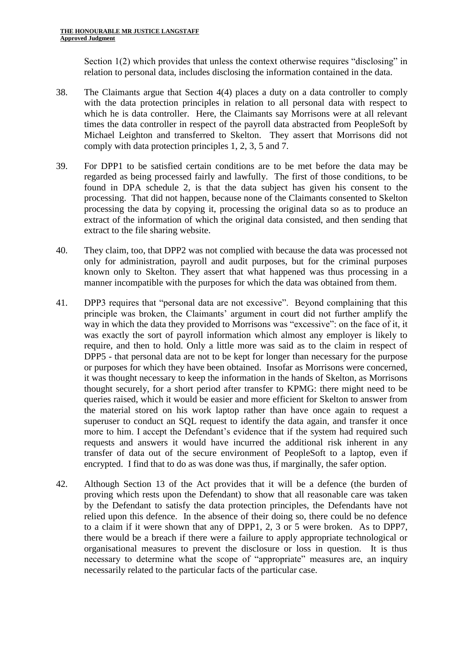Section 1(2) which provides that unless the context otherwise requires "disclosing" in relation to personal data, includes disclosing the information contained in the data.

- 38. The Claimants argue that Section 4(4) places a duty on a data controller to comply with the data protection principles in relation to all personal data with respect to which he is data controller. Here, the Claimants say Morrisons were at all relevant times the data controller in respect of the payroll data abstracted from PeopleSoft by Michael Leighton and transferred to Skelton. They assert that Morrisons did not comply with data protection principles 1, 2, 3, 5 and 7.
- 39. For DPP1 to be satisfied certain conditions are to be met before the data may be regarded as being processed fairly and lawfully. The first of those conditions, to be found in DPA schedule 2, is that the data subject has given his consent to the processing. That did not happen, because none of the Claimants consented to Skelton processing the data by copying it, processing the original data so as to produce an extract of the information of which the original data consisted, and then sending that extract to the file sharing website.
- 40. They claim, too, that DPP2 was not complied with because the data was processed not only for administration, payroll and audit purposes, but for the criminal purposes known only to Skelton. They assert that what happened was thus processing in a manner incompatible with the purposes for which the data was obtained from them.
- 41. DPP3 requires that "personal data are not excessive". Beyond complaining that this principle was broken, the Claimants' argument in court did not further amplify the way in which the data they provided to Morrisons was "excessive": on the face of it, it was exactly the sort of payroll information which almost any employer is likely to require, and then to hold. Only a little more was said as to the claim in respect of DPP5 - that personal data are not to be kept for longer than necessary for the purpose or purposes for which they have been obtained. Insofar as Morrisons were concerned, it was thought necessary to keep the information in the hands of Skelton, as Morrisons thought securely, for a short period after transfer to KPMG: there might need to be queries raised, which it would be easier and more efficient for Skelton to answer from the material stored on his work laptop rather than have once again to request a superuser to conduct an SQL request to identify the data again, and transfer it once more to him. I accept the Defendant's evidence that if the system had required such requests and answers it would have incurred the additional risk inherent in any transfer of data out of the secure environment of PeopleSoft to a laptop, even if encrypted. I find that to do as was done was thus, if marginally, the safer option.
- 42. Although Section 13 of the Act provides that it will be a defence (the burden of proving which rests upon the Defendant) to show that all reasonable care was taken by the Defendant to satisfy the data protection principles, the Defendants have not relied upon this defence. In the absence of their doing so, there could be no defence to a claim if it were shown that any of DPP1, 2, 3 or 5 were broken. As to DPP7, there would be a breach if there were a failure to apply appropriate technological or organisational measures to prevent the disclosure or loss in question. It is thus necessary to determine what the scope of "appropriate" measures are, an inquiry necessarily related to the particular facts of the particular case.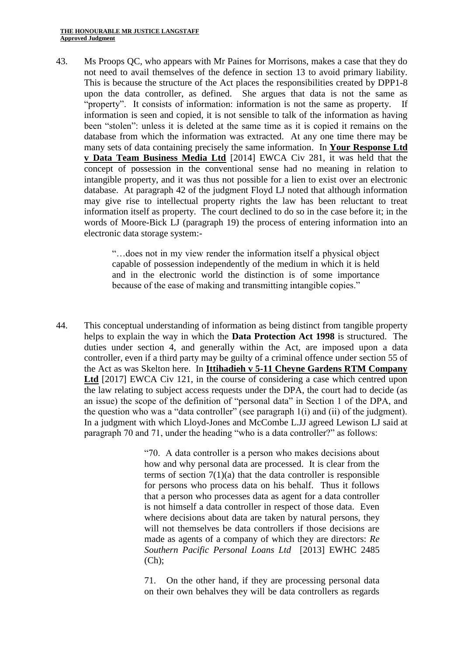43. Ms Proops QC, who appears with Mr Paines for Morrisons, makes a case that they do not need to avail themselves of the defence in section 13 to avoid primary liability. This is because the structure of the Act places the responsibilities created by DPP1-8 upon the data controller, as defined. She argues that data is not the same as "property". It consists of information: information is not the same as property. If information is seen and copied, it is not sensible to talk of the information as having been "stolen": unless it is deleted at the same time as it is copied it remains on the database from which the information was extracted. At any one time there may be many sets of data containing precisely the same information. In **Your Response Ltd v Data Team Business Media Ltd** [2014] EWCA Civ 281, it was held that the concept of possession in the conventional sense had no meaning in relation to intangible property, and it was thus not possible for a lien to exist over an electronic database. At paragraph 42 of the judgment Floyd LJ noted that although information may give rise to intellectual property rights the law has been reluctant to treat information itself as property. The court declined to do so in the case before it; in the words of Moore-Bick LJ (paragraph 19) the process of entering information into an electronic data storage system:-

> "…does not in my view render the information itself a physical object capable of possession independently of the medium in which it is held and in the electronic world the distinction is of some importance because of the ease of making and transmitting intangible copies."

44. This conceptual understanding of information as being distinct from tangible property helps to explain the way in which the **Data Protection Act 1998** is structured. The duties under section 4, and generally within the Act, are imposed upon a data controller, even if a third party may be guilty of a criminal offence under section 55 of the Act as was Skelton here. In **Ittihadieh v 5-11 Cheyne Gardens RTM Company**  Ltd<sub>[2017]</sub> EWCA Civ<sub>121</sub>, in the course of considering a case which centred upon the law relating to subject access requests under the DPA, the court had to decide (as an issue) the scope of the definition of "personal data" in Section 1 of the DPA, and the question who was a "data controller" (see paragraph 1(i) and (ii) of the judgment). In a judgment with which Lloyd-Jones and McCombe L.JJ agreed Lewison LJ said at paragraph 70 and 71, under the heading "who is a data controller?" as follows:

> "70. A data controller is a person who makes decisions about how and why personal data are processed. It is clear from the terms of section  $7(1)(a)$  that the data controller is responsible for persons who process data on his behalf. Thus it follows that a person who processes data as agent for a data controller is not himself a data controller in respect of those data. Even where decisions about data are taken by natural persons, they will not themselves be data controllers if those decisions are made as agents of a company of which they are directors: *Re Southern Pacific Personal Loans Ltd* [2013] EWHC 2485 (Ch);

> 71. On the other hand, if they are processing personal data on their own behalves they will be data controllers as regards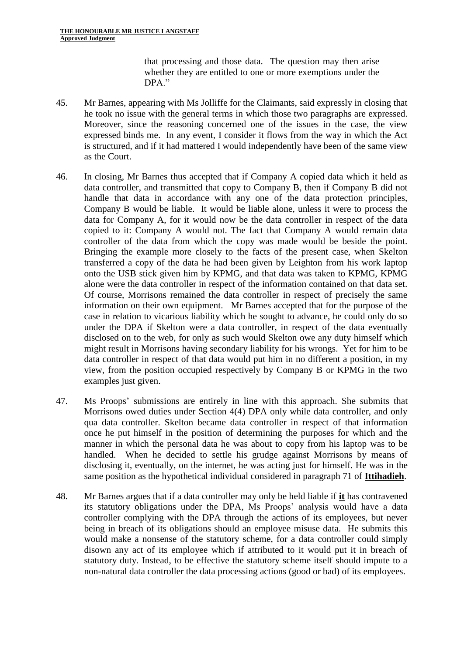that processing and those data. The question may then arise whether they are entitled to one or more exemptions under the  $DPA$ "

- 45. Mr Barnes, appearing with Ms Jolliffe for the Claimants, said expressly in closing that he took no issue with the general terms in which those two paragraphs are expressed. Moreover, since the reasoning concerned one of the issues in the case, the view expressed binds me. In any event, I consider it flows from the way in which the Act is structured, and if it had mattered I would independently have been of the same view as the Court.
- 46. In closing, Mr Barnes thus accepted that if Company A copied data which it held as data controller, and transmitted that copy to Company B, then if Company B did not handle that data in accordance with any one of the data protection principles, Company B would be liable. It would be liable alone, unless it were to process the data for Company A, for it would now be the data controller in respect of the data copied to it: Company A would not. The fact that Company A would remain data controller of the data from which the copy was made would be beside the point. Bringing the example more closely to the facts of the present case, when Skelton transferred a copy of the data he had been given by Leighton from his work laptop onto the USB stick given him by KPMG, and that data was taken to KPMG, KPMG alone were the data controller in respect of the information contained on that data set. Of course, Morrisons remained the data controller in respect of precisely the same information on their own equipment. Mr Barnes accepted that for the purpose of the case in relation to vicarious liability which he sought to advance, he could only do so under the DPA if Skelton were a data controller, in respect of the data eventually disclosed on to the web, for only as such would Skelton owe any duty himself which might result in Morrisons having secondary liability for his wrongs. Yet for him to be data controller in respect of that data would put him in no different a position, in my view, from the position occupied respectively by Company B or KPMG in the two examples just given.
- 47. Ms Proops' submissions are entirely in line with this approach. She submits that Morrisons owed duties under Section 4(4) DPA only while data controller, and only qua data controller. Skelton became data controller in respect of that information once he put himself in the position of determining the purposes for which and the manner in which the personal data he was about to copy from his laptop was to be handled. When he decided to settle his grudge against Morrisons by means of disclosing it, eventually, on the internet, he was acting just for himself. He was in the same position as the hypothetical individual considered in paragraph 71 of **Ittihadieh**.
- 48. Mr Barnes argues that if a data controller may only be held liable if **it** has contravened its statutory obligations under the DPA, Ms Proops' analysis would have a data controller complying with the DPA through the actions of its employees, but never being in breach of its obligations should an employee misuse data. He submits this would make a nonsense of the statutory scheme, for a data controller could simply disown any act of its employee which if attributed to it would put it in breach of statutory duty. Instead, to be effective the statutory scheme itself should impute to a non-natural data controller the data processing actions (good or bad) of its employees.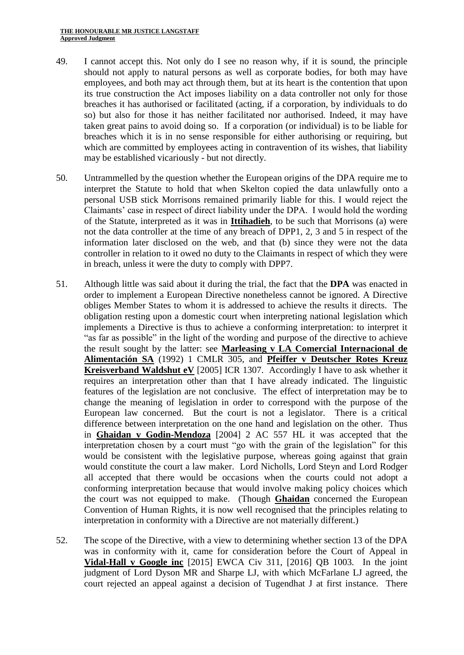- 49. I cannot accept this. Not only do I see no reason why, if it is sound, the principle should not apply to natural persons as well as corporate bodies, for both may have employees, and both may act through them, but at its heart is the contention that upon its true construction the Act imposes liability on a data controller not only for those breaches it has authorised or facilitated (acting, if a corporation, by individuals to do so) but also for those it has neither facilitated nor authorised. Indeed, it may have taken great pains to avoid doing so. If a corporation (or individual) is to be liable for breaches which it is in no sense responsible for either authorising or requiring, but which are committed by employees acting in contravention of its wishes, that liability may be established vicariously - but not directly.
- 50. Untrammelled by the question whether the European origins of the DPA require me to interpret the Statute to hold that when Skelton copied the data unlawfully onto a personal USB stick Morrisons remained primarily liable for this. I would reject the Claimants' case in respect of direct liability under the DPA. I would hold the wording of the Statute, interpreted as it was in **Ittihadieh**, to be such that Morrisons (a) were not the data controller at the time of any breach of DPP1, 2, 3 and 5 in respect of the information later disclosed on the web, and that (b) since they were not the data controller in relation to it owed no duty to the Claimants in respect of which they were in breach, unless it were the duty to comply with DPP7.
- 51. Although little was said about it during the trial, the fact that the **DPA** was enacted in order to implement a European Directive nonetheless cannot be ignored. A Directive obliges Member States to whom it is addressed to achieve the results it directs. The obligation resting upon a domestic court when interpreting national legislation which implements a Directive is thus to achieve a conforming interpretation: to interpret it "as far as possible" in the light of the wording and purpose of the directive to achieve the result sought by the latter: see **Marleasing v LA Comercial Internacional de Alimentación SA** (1992) 1 CMLR 305, and **Pfeiffer v Deutscher Rotes Kreuz Kreisverband Waldshut eV** [2005] ICR 1307. Accordingly I have to ask whether it requires an interpretation other than that I have already indicated. The linguistic features of the legislation are not conclusive. The effect of interpretation may be to change the meaning of legislation in order to correspond with the purpose of the European law concerned. But the court is not a legislator. There is a critical difference between interpretation on the one hand and legislation on the other. Thus in **Ghaidan v Godin-Mendoza** [2004] 2 AC 557 HL it was accepted that the interpretation chosen by a court must "go with the grain of the legislation" for this would be consistent with the legislative purpose, whereas going against that grain would constitute the court a law maker. Lord Nicholls, Lord Steyn and Lord Rodger all accepted that there would be occasions when the courts could not adopt a conforming interpretation because that would involve making policy choices which the court was not equipped to make. (Though **Ghaidan** concerned the European Convention of Human Rights, it is now well recognised that the principles relating to interpretation in conformity with a Directive are not materially different.)
- 52. The scope of the Directive, with a view to determining whether section 13 of the DPA was in conformity with it, came for consideration before the Court of Appeal in **Vidal-Hall v Google inc** [2015] EWCA Civ 311, [2016] QB 1003. In the joint judgment of Lord Dyson MR and Sharpe LJ, with which McFarlane LJ agreed, the court rejected an appeal against a decision of Tugendhat J at first instance. There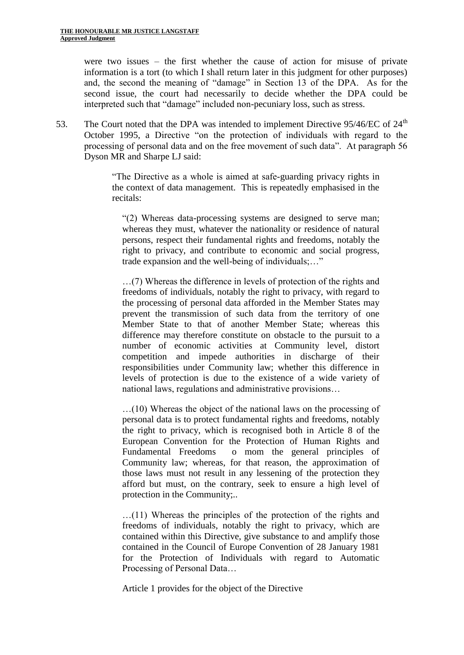were two issues – the first whether the cause of action for misuse of private information is a tort (to which I shall return later in this judgment for other purposes) and, the second the meaning of "damage" in Section 13 of the DPA. As for the second issue, the court had necessarily to decide whether the DPA could be interpreted such that "damage" included non-pecuniary loss, such as stress.

53. The Court noted that the DPA was intended to implement Directive 95/46/EC of 24<sup>th</sup> October 1995, a Directive "on the protection of individuals with regard to the processing of personal data and on the free movement of such data". At paragraph 56 Dyson MR and Sharpe LJ said:

> "The Directive as a whole is aimed at safe-guarding privacy rights in the context of data management. This is repeatedly emphasised in the recitals:

"(2) Whereas data-processing systems are designed to serve man; whereas they must, whatever the nationality or residence of natural persons, respect their fundamental rights and freedoms, notably the right to privacy, and contribute to economic and social progress, trade expansion and the well-being of individuals;…"

…(7) Whereas the difference in levels of protection of the rights and freedoms of individuals, notably the right to privacy, with regard to the processing of personal data afforded in the Member States may prevent the transmission of such data from the territory of one Member State to that of another Member State; whereas this difference may therefore constitute on obstacle to the pursuit to a number of economic activities at Community level, distort competition and impede authorities in discharge of their responsibilities under Community law; whether this difference in levels of protection is due to the existence of a wide variety of national laws, regulations and administrative provisions…

…(10) Whereas the object of the national laws on the processing of personal data is to protect fundamental rights and freedoms, notably the right to privacy, which is recognised both in Article 8 of the European Convention for the Protection of Human Rights and Fundamental Freedoms o mom the general principles of Community law; whereas, for that reason, the approximation of those laws must not result in any lessening of the protection they afford but must, on the contrary, seek to ensure a high level of protection in the Community;..

…(11) Whereas the principles of the protection of the rights and freedoms of individuals, notably the right to privacy, which are contained within this Directive, give substance to and amplify those contained in the Council of Europe Convention of 28 January 1981 for the Protection of Individuals with regard to Automatic Processing of Personal Data…

Article 1 provides for the object of the Directive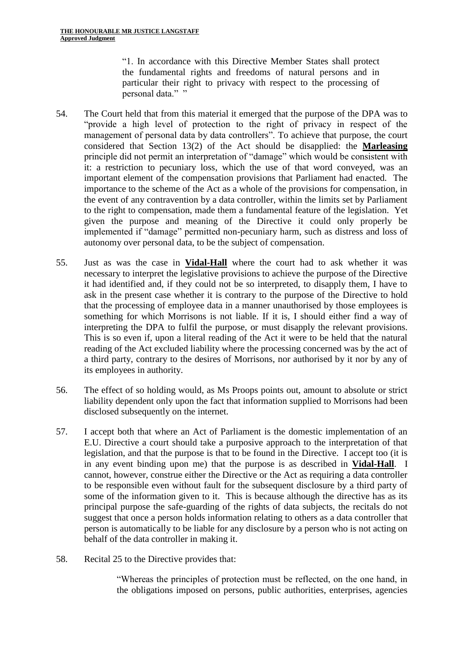"1. In accordance with this Directive Member States shall protect the fundamental rights and freedoms of natural persons and in particular their right to privacy with respect to the processing of personal data." "

- 54. The Court held that from this material it emerged that the purpose of the DPA was to "provide a high level of protection to the right of privacy in respect of the management of personal data by data controllers". To achieve that purpose, the court considered that Section 13(2) of the Act should be disapplied: the **Marleasing** principle did not permit an interpretation of "damage" which would be consistent with it: a restriction to pecuniary loss, which the use of that word conveyed, was an important element of the compensation provisions that Parliament had enacted. The importance to the scheme of the Act as a whole of the provisions for compensation, in the event of any contravention by a data controller, within the limits set by Parliament to the right to compensation, made them a fundamental feature of the legislation. Yet given the purpose and meaning of the Directive it could only properly be implemented if "damage" permitted non-pecuniary harm, such as distress and loss of autonomy over personal data, to be the subject of compensation.
- 55. Just as was the case in **Vidal-Hall** where the court had to ask whether it was necessary to interpret the legislative provisions to achieve the purpose of the Directive it had identified and, if they could not be so interpreted, to disapply them, I have to ask in the present case whether it is contrary to the purpose of the Directive to hold that the processing of employee data in a manner unauthorised by those employees is something for which Morrisons is not liable. If it is, I should either find a way of interpreting the DPA to fulfil the purpose, or must disapply the relevant provisions. This is so even if, upon a literal reading of the Act it were to be held that the natural reading of the Act excluded liability where the processing concerned was by the act of a third party, contrary to the desires of Morrisons, nor authorised by it nor by any of its employees in authority.
- 56. The effect of so holding would, as Ms Proops points out, amount to absolute or strict liability dependent only upon the fact that information supplied to Morrisons had been disclosed subsequently on the internet.
- 57. I accept both that where an Act of Parliament is the domestic implementation of an E.U. Directive a court should take a purposive approach to the interpretation of that legislation, and that the purpose is that to be found in the Directive. I accept too (it is in any event binding upon me) that the purpose is as described in **Vidal-Hall**. I cannot, however, construe either the Directive or the Act as requiring a data controller to be responsible even without fault for the subsequent disclosure by a third party of some of the information given to it. This is because although the directive has as its principal purpose the safe-guarding of the rights of data subjects, the recitals do not suggest that once a person holds information relating to others as a data controller that person is automatically to be liable for any disclosure by a person who is not acting on behalf of the data controller in making it.
- 58. Recital 25 to the Directive provides that:

"Whereas the principles of protection must be reflected, on the one hand, in the obligations imposed on persons, public authorities, enterprises, agencies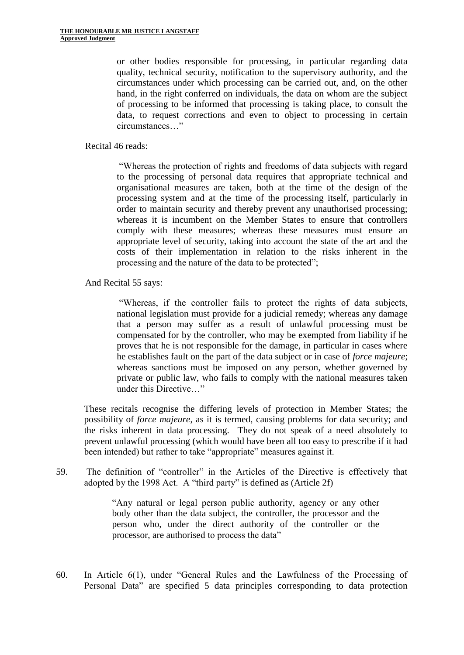or other bodies responsible for processing, in particular regarding data quality, technical security, notification to the supervisory authority, and the circumstances under which processing can be carried out, and, on the other hand, in the right conferred on individuals, the data on whom are the subject of processing to be informed that processing is taking place, to consult the data, to request corrections and even to object to processing in certain circumstances…"

Recital 46 reads:

"Whereas the protection of rights and freedoms of data subjects with regard to the processing of personal data requires that appropriate technical and organisational measures are taken, both at the time of the design of the processing system and at the time of the processing itself, particularly in order to maintain security and thereby prevent any unauthorised processing; whereas it is incumbent on the Member States to ensure that controllers comply with these measures; whereas these measures must ensure an appropriate level of security, taking into account the state of the art and the costs of their implementation in relation to the risks inherent in the processing and the nature of the data to be protected";

And Recital 55 says:

"Whereas, if the controller fails to protect the rights of data subjects, national legislation must provide for a judicial remedy; whereas any damage that a person may suffer as a result of unlawful processing must be compensated for by the controller, who may be exempted from liability if he proves that he is not responsible for the damage, in particular in cases where he establishes fault on the part of the data subject or in case of *force majeure*; whereas sanctions must be imposed on any person, whether governed by private or public law, who fails to comply with the national measures taken under this Directive…"

These recitals recognise the differing levels of protection in Member States; the possibility of *force majeure*, as it is termed, causing problems for data security; and the risks inherent in data processing. They do not speak of a need absolutely to prevent unlawful processing (which would have been all too easy to prescribe if it had been intended) but rather to take "appropriate" measures against it.

59. The definition of "controller" in the Articles of the Directive is effectively that adopted by the 1998 Act. A "third party" is defined as (Article 2f)

> "Any natural or legal person public authority, agency or any other body other than the data subject, the controller, the processor and the person who, under the direct authority of the controller or the processor, are authorised to process the data"

60. In Article 6(1), under "General Rules and the Lawfulness of the Processing of Personal Data" are specified 5 data principles corresponding to data protection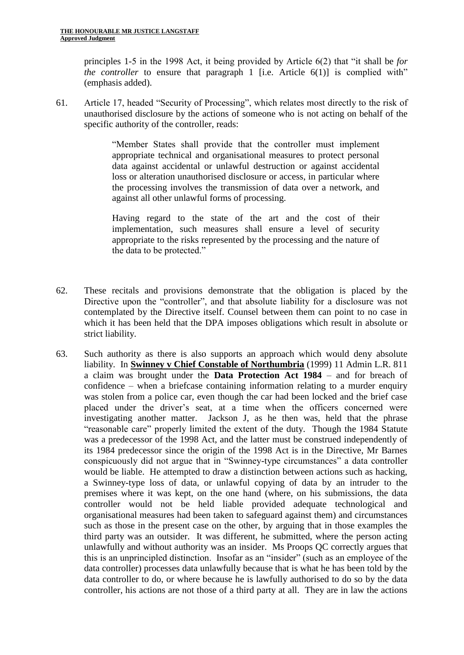principles 1-5 in the 1998 Act, it being provided by Article 6(2) that "it shall be *for the controller* to ensure that paragraph 1 [i.e. Article  $6(1)$ ] is complied with" (emphasis added).

61. Article 17, headed "Security of Processing", which relates most directly to the risk of unauthorised disclosure by the actions of someone who is not acting on behalf of the specific authority of the controller, reads:

> "Member States shall provide that the controller must implement appropriate technical and organisational measures to protect personal data against accidental or unlawful destruction or against accidental loss or alteration unauthorised disclosure or access, in particular where the processing involves the transmission of data over a network, and against all other unlawful forms of processing.

> Having regard to the state of the art and the cost of their implementation, such measures shall ensure a level of security appropriate to the risks represented by the processing and the nature of the data to be protected."

- 62. These recitals and provisions demonstrate that the obligation is placed by the Directive upon the "controller", and that absolute liability for a disclosure was not contemplated by the Directive itself. Counsel between them can point to no case in which it has been held that the DPA imposes obligations which result in absolute or strict liability.
- 63. Such authority as there is also supports an approach which would deny absolute liability. In **Swinney v Chief Constable of Northumbria** (1999) 11 Admin L.R. 811 a claim was brought under the **Data Protection Act 1984** – and for breach of confidence – when a briefcase containing information relating to a murder enquiry was stolen from a police car, even though the car had been locked and the brief case placed under the driver's seat, at a time when the officers concerned were investigating another matter. Jackson J, as he then was, held that the phrase "reasonable care" properly limited the extent of the duty. Though the 1984 Statute was a predecessor of the 1998 Act, and the latter must be construed independently of its 1984 predecessor since the origin of the 1998 Act is in the Directive, Mr Barnes conspicuously did not argue that in "Swinney-type circumstances" a data controller would be liable. He attempted to draw a distinction between actions such as hacking, a Swinney-type loss of data, or unlawful copying of data by an intruder to the premises where it was kept, on the one hand (where, on his submissions, the data controller would not be held liable provided adequate technological and organisational measures had been taken to safeguard against them) and circumstances such as those in the present case on the other, by arguing that in those examples the third party was an outsider. It was different, he submitted, where the person acting unlawfully and without authority was an insider. Ms Proops QC correctly argues that this is an unprincipled distinction. Insofar as an "insider" (such as an employee of the data controller) processes data unlawfully because that is what he has been told by the data controller to do, or where because he is lawfully authorised to do so by the data controller, his actions are not those of a third party at all. They are in law the actions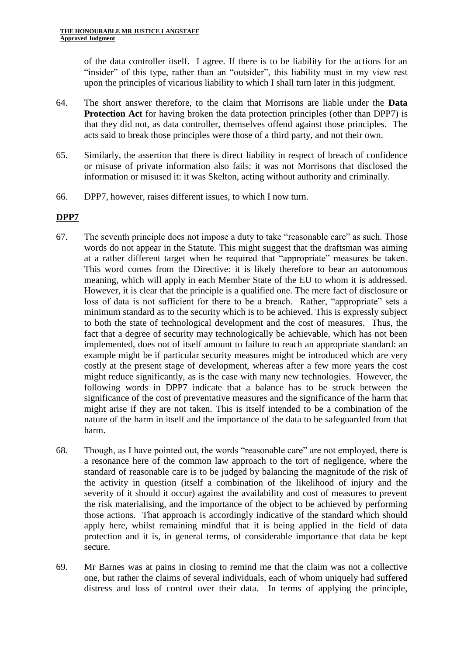of the data controller itself. I agree. If there is to be liability for the actions for an "insider" of this type, rather than an "outsider", this liability must in my view rest upon the principles of vicarious liability to which I shall turn later in this judgment.

- 64. The short answer therefore, to the claim that Morrisons are liable under the **Data Protection Act** for having broken the data protection principles (other than DPP7) is that they did not, as data controller, themselves offend against those principles. The acts said to break those principles were those of a third party, and not their own.
- 65. Similarly, the assertion that there is direct liability in respect of breach of confidence or misuse of private information also fails: it was not Morrisons that disclosed the information or misused it: it was Skelton, acting without authority and criminally.
- 66. DPP7, however, raises different issues, to which I now turn.

# **DPP7**

- 67. The seventh principle does not impose a duty to take "reasonable care" as such. Those words do not appear in the Statute. This might suggest that the draftsman was aiming at a rather different target when he required that "appropriate" measures be taken. This word comes from the Directive: it is likely therefore to bear an autonomous meaning, which will apply in each Member State of the EU to whom it is addressed. However, it is clear that the principle is a qualified one. The mere fact of disclosure or loss of data is not sufficient for there to be a breach. Rather, "appropriate" sets a minimum standard as to the security which is to be achieved. This is expressly subject to both the state of technological development and the cost of measures. Thus, the fact that a degree of security may technologically be achievable, which has not been implemented, does not of itself amount to failure to reach an appropriate standard: an example might be if particular security measures might be introduced which are very costly at the present stage of development, whereas after a few more years the cost might reduce significantly, as is the case with many new technologies. However, the following words in DPP7 indicate that a balance has to be struck between the significance of the cost of preventative measures and the significance of the harm that might arise if they are not taken. This is itself intended to be a combination of the nature of the harm in itself and the importance of the data to be safeguarded from that harm.
- 68. Though, as I have pointed out, the words "reasonable care" are not employed, there is a resonance here of the common law approach to the tort of negligence, where the standard of reasonable care is to be judged by balancing the magnitude of the risk of the activity in question (itself a combination of the likelihood of injury and the severity of it should it occur) against the availability and cost of measures to prevent the risk materialising, and the importance of the object to be achieved by performing those actions. That approach is accordingly indicative of the standard which should apply here, whilst remaining mindful that it is being applied in the field of data protection and it is, in general terms, of considerable importance that data be kept secure.
- 69. Mr Barnes was at pains in closing to remind me that the claim was not a collective one, but rather the claims of several individuals, each of whom uniquely had suffered distress and loss of control over their data. In terms of applying the principle,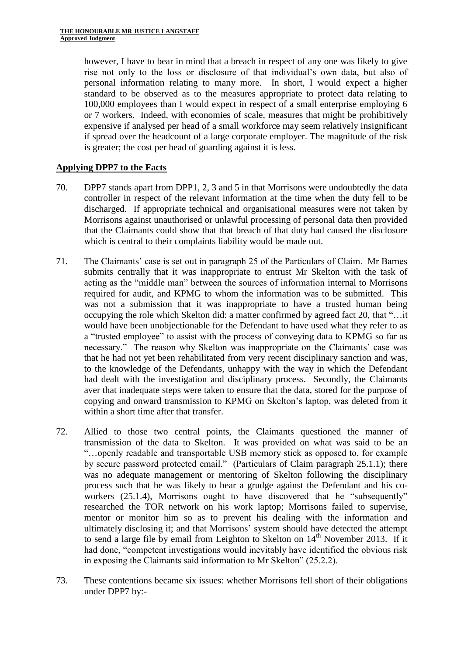however, I have to bear in mind that a breach in respect of any one was likely to give rise not only to the loss or disclosure of that individual's own data, but also of personal information relating to many more. In short, I would expect a higher standard to be observed as to the measures appropriate to protect data relating to 100,000 employees than I would expect in respect of a small enterprise employing 6 or 7 workers. Indeed, with economies of scale, measures that might be prohibitively expensive if analysed per head of a small workforce may seem relatively insignificant if spread over the headcount of a large corporate employer. The magnitude of the risk is greater; the cost per head of guarding against it is less.

## **Applying DPP7 to the Facts**

- 70. DPP7 stands apart from DPP1, 2, 3 and 5 in that Morrisons were undoubtedly the data controller in respect of the relevant information at the time when the duty fell to be discharged. If appropriate technical and organisational measures were not taken by Morrisons against unauthorised or unlawful processing of personal data then provided that the Claimants could show that that breach of that duty had caused the disclosure which is central to their complaints liability would be made out.
- 71. The Claimants' case is set out in paragraph 25 of the Particulars of Claim. Mr Barnes submits centrally that it was inappropriate to entrust Mr Skelton with the task of acting as the "middle man" between the sources of information internal to Morrisons required for audit, and KPMG to whom the information was to be submitted. This was not a submission that it was inappropriate to have a trusted human being occupying the role which Skelton did: a matter confirmed by agreed fact 20, that "…it would have been unobjectionable for the Defendant to have used what they refer to as a "trusted employee" to assist with the process of conveying data to KPMG so far as necessary." The reason why Skelton was inappropriate on the Claimants' case was that he had not yet been rehabilitated from very recent disciplinary sanction and was, to the knowledge of the Defendants, unhappy with the way in which the Defendant had dealt with the investigation and disciplinary process. Secondly, the Claimants aver that inadequate steps were taken to ensure that the data, stored for the purpose of copying and onward transmission to KPMG on Skelton's laptop, was deleted from it within a short time after that transfer.
- 72. Allied to those two central points, the Claimants questioned the manner of transmission of the data to Skelton. It was provided on what was said to be an "…openly readable and transportable USB memory stick as opposed to, for example by secure password protected email." (Particulars of Claim paragraph 25.1.1); there was no adequate management or mentoring of Skelton following the disciplinary process such that he was likely to bear a grudge against the Defendant and his coworkers (25.1.4), Morrisons ought to have discovered that he "subsequently" researched the TOR network on his work laptop; Morrisons failed to supervise, mentor or monitor him so as to prevent his dealing with the information and ultimately disclosing it; and that Morrisons' system should have detected the attempt to send a large file by email from Leighton to Skelton on  $14<sup>th</sup>$  November 2013. If it had done, "competent investigations would inevitably have identified the obvious risk in exposing the Claimants said information to Mr Skelton" (25.2.2).
- 73. These contentions became six issues: whether Morrisons fell short of their obligations under DPP7 by:-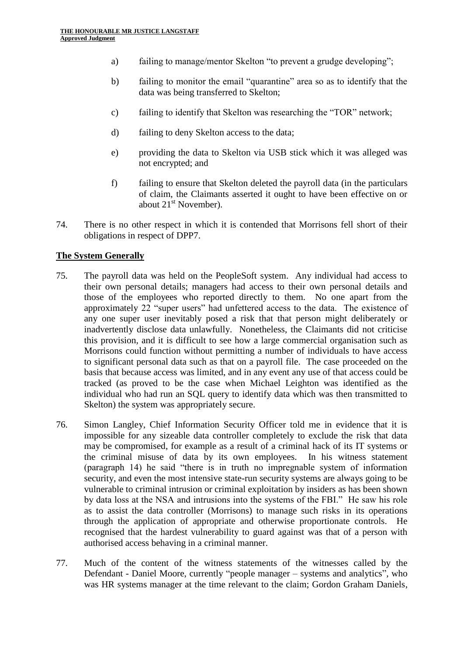- a) failing to manage/mentor Skelton "to prevent a grudge developing";
- b) failing to monitor the email "quarantine" area so as to identify that the data was being transferred to Skelton;
- c) failing to identify that Skelton was researching the "TOR" network;
- d) failing to deny Skelton access to the data;
- e) providing the data to Skelton via USB stick which it was alleged was not encrypted; and
- $f$  failing to ensure that Skelton deleted the payroll data (in the particulars of claim, the Claimants asserted it ought to have been effective on or about  $21<sup>st</sup>$  November).
- 74. There is no other respect in which it is contended that Morrisons fell short of their obligations in respect of DPP7.

## **The System Generally**

- 75. The payroll data was held on the PeopleSoft system. Any individual had access to their own personal details; managers had access to their own personal details and those of the employees who reported directly to them. No one apart from the approximately 22 "super users" had unfettered access to the data. The existence of any one super user inevitably posed a risk that that person might deliberately or inadvertently disclose data unlawfully. Nonetheless, the Claimants did not criticise this provision, and it is difficult to see how a large commercial organisation such as Morrisons could function without permitting a number of individuals to have access to significant personal data such as that on a payroll file. The case proceeded on the basis that because access was limited, and in any event any use of that access could be tracked (as proved to be the case when Michael Leighton was identified as the individual who had run an SQL query to identify data which was then transmitted to Skelton) the system was appropriately secure.
- 76. Simon Langley, Chief Information Security Officer told me in evidence that it is impossible for any sizeable data controller completely to exclude the risk that data may be compromised, for example as a result of a criminal hack of its IT systems or the criminal misuse of data by its own employees. In his witness statement (paragraph 14) he said "there is in truth no impregnable system of information security, and even the most intensive state-run security systems are always going to be vulnerable to criminal intrusion or criminal exploitation by insiders as has been shown by data loss at the NSA and intrusions into the systems of the FBI." He saw his role as to assist the data controller (Morrisons) to manage such risks in its operations through the application of appropriate and otherwise proportionate controls. He recognised that the hardest vulnerability to guard against was that of a person with authorised access behaving in a criminal manner.
- 77. Much of the content of the witness statements of the witnesses called by the Defendant - Daniel Moore, currently "people manager – systems and analytics", who was HR systems manager at the time relevant to the claim; Gordon Graham Daniels,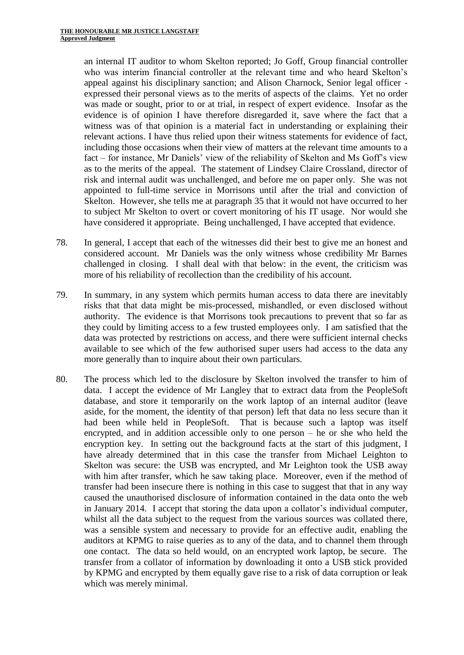an internal IT auditor to whom Skelton reported; Jo Goff, Group financial controller who was interim financial controller at the relevant time and who heard Skelton's appeal against his disciplinary sanction; and Alison Charnock, Senior legal officer expressed their personal views as to the merits of aspects of the claims. Yet no order was made or sought, prior to or at trial, in respect of expert evidence. Insofar as the evidence is of opinion I have therefore disregarded it, save where the fact that a witness was of that opinion is a material fact in understanding or explaining their relevant actions. I have thus relied upon their witness statements for evidence of fact, including those occasions when their view of matters at the relevant time amounts to a fact – for instance, Mr Daniels' view of the reliability of Skelton and Ms Goff's view as to the merits of the appeal. The statement of Lindsey Claire Crossland, director of risk and internal audit was unchallenged, and before me on paper only. She was not appointed to full-time service in Morrisons until after the trial and conviction of Skelton. However, she tells me at paragraph 35 that it would not have occurred to her to subject Mr Skelton to overt or covert monitoring of his IT usage. Nor would she have considered it appropriate. Being unchallenged, I have accepted that evidence.

- 78. In general, I accept that each of the witnesses did their best to give me an honest and considered account. Mr Daniels was the only witness whose credibility Mr Barnes challenged in closing. I shall deal with that below: in the event, the criticism was more of his reliability of recollection than the credibility of his account.
- 79. In summary, in any system which permits human access to data there are inevitably risks that that data might be mis-processed, mishandled, or even disclosed without authority. The evidence is that Morrisons took precautions to prevent that so far as they could by limiting access to a few trusted employees only. I am satisfied that the data was protected by restrictions on access, and there were sufficient internal checks available to see which of the few authorised super users had access to the data any more generally than to inquire about their own particulars.
- 80. The process which led to the disclosure by Skelton involved the transfer to him of data. I accept the evidence of Mr Langley that to extract data from the PeopleSoft database, and store it temporarily on the work laptop of an internal auditor (leave aside, for the moment, the identity of that person) left that data no less secure than it had been while held in PeopleSoft. That is because such a laptop was itself encrypted, and in addition accessible only to one person – he or she who held the encryption key. In setting out the background facts at the start of this judgment, I have already determined that in this case the transfer from Michael Leighton to Skelton was secure: the USB was encrypted, and Mr Leighton took the USB away with him after transfer, which he saw taking place. Moreover, even if the method of transfer had been insecure there is nothing in this case to suggest that that in any way caused the unauthorised disclosure of information contained in the data onto the web in January 2014. I accept that storing the data upon a collator's individual computer, whilst all the data subject to the request from the various sources was collated there, was a sensible system and necessary to provide for an effective audit, enabling the auditors at KPMG to raise queries as to any of the data, and to channel them through one contact. The data so held would, on an encrypted work laptop, be secure. The transfer from a collator of information by downloading it onto a USB stick provided by KPMG and encrypted by them equally gave rise to a risk of data corruption or leak which was merely minimal.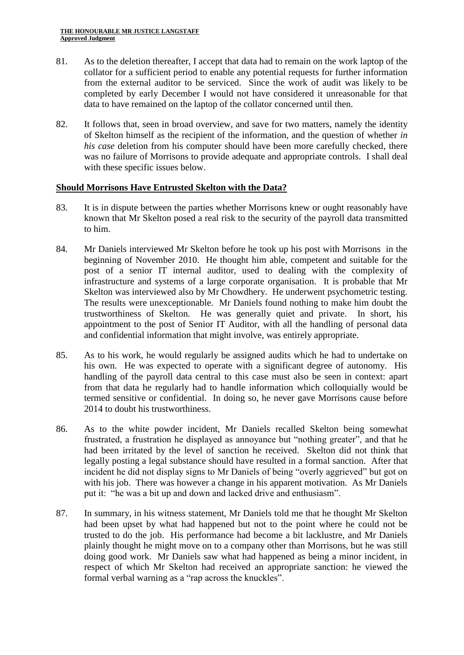- 81. As to the deletion thereafter, I accept that data had to remain on the work laptop of the collator for a sufficient period to enable any potential requests for further information from the external auditor to be serviced. Since the work of audit was likely to be completed by early December I would not have considered it unreasonable for that data to have remained on the laptop of the collator concerned until then.
- 82. It follows that, seen in broad overview, and save for two matters, namely the identity of Skelton himself as the recipient of the information, and the question of whether *in his case* deletion from his computer should have been more carefully checked, there was no failure of Morrisons to provide adequate and appropriate controls. I shall deal with these specific issues below.

## **Should Morrisons Have Entrusted Skelton with the Data?**

- 83. It is in dispute between the parties whether Morrisons knew or ought reasonably have known that Mr Skelton posed a real risk to the security of the payroll data transmitted to him.
- 84. Mr Daniels interviewed Mr Skelton before he took up his post with Morrisons in the beginning of November 2010. He thought him able, competent and suitable for the post of a senior IT internal auditor, used to dealing with the complexity of infrastructure and systems of a large corporate organisation. It is probable that Mr Skelton was interviewed also by Mr Chowdhery. He underwent psychometric testing. The results were unexceptionable. Mr Daniels found nothing to make him doubt the trustworthiness of Skelton. He was generally quiet and private. In short, his appointment to the post of Senior IT Auditor, with all the handling of personal data and confidential information that might involve, was entirely appropriate.
- 85. As to his work, he would regularly be assigned audits which he had to undertake on his own. He was expected to operate with a significant degree of autonomy. His handling of the payroll data central to this case must also be seen in context: apart from that data he regularly had to handle information which colloquially would be termed sensitive or confidential. In doing so, he never gave Morrisons cause before 2014 to doubt his trustworthiness.
- 86. As to the white powder incident, Mr Daniels recalled Skelton being somewhat frustrated, a frustration he displayed as annoyance but "nothing greater", and that he had been irritated by the level of sanction he received. Skelton did not think that legally posting a legal substance should have resulted in a formal sanction. After that incident he did not display signs to Mr Daniels of being "overly aggrieved" but got on with his job. There was however a change in his apparent motivation. As Mr Daniels put it: "he was a bit up and down and lacked drive and enthusiasm".
- 87. In summary, in his witness statement, Mr Daniels told me that he thought Mr Skelton had been upset by what had happened but not to the point where he could not be trusted to do the job. His performance had become a bit lacklustre, and Mr Daniels plainly thought he might move on to a company other than Morrisons, but he was still doing good work. Mr Daniels saw what had happened as being a minor incident, in respect of which Mr Skelton had received an appropriate sanction: he viewed the formal verbal warning as a "rap across the knuckles".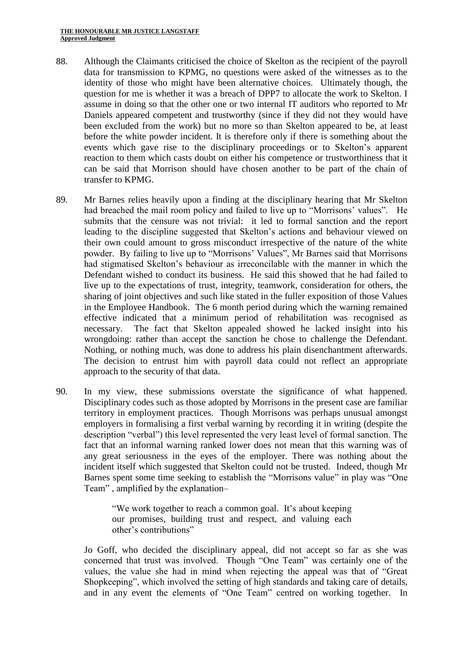- 88. Although the Claimants criticised the choice of Skelton as the recipient of the payroll data for transmission to KPMG, no questions were asked of the witnesses as to the identity of those who might have been alternative choices. Ultimately though, the question for me is whether it was a breach of DPP7 to allocate the work to Skelton. I assume in doing so that the other one or two internal IT auditors who reported to Mr Daniels appeared competent and trustworthy (since if they did not they would have been excluded from the work) but no more so than Skelton appeared to be, at least before the white powder incident. It is therefore only if there is something about the events which gave rise to the disciplinary proceedings or to Skelton's apparent reaction to them which casts doubt on either his competence or trustworthiness that it can be said that Morrison should have chosen another to be part of the chain of transfer to KPMG.
- 89. Mr Barnes relies heavily upon a finding at the disciplinary hearing that Mr Skelton had breached the mail room policy and failed to live up to "Morrisons' values". He submits that the censure was not trivial: it led to formal sanction and the report leading to the discipline suggested that Skelton's actions and behaviour viewed on their own could amount to gross misconduct irrespective of the nature of the white powder. By failing to live up to "Morrisons' Values", Mr Barnes said that Morrisons had stigmatised Skelton's behaviour as irreconcilable with the manner in which the Defendant wished to conduct its business. He said this showed that he had failed to live up to the expectations of trust, integrity, teamwork, consideration for others, the sharing of joint objectives and such like stated in the fuller exposition of those Values in the Employee Handbook. The 6 month period during which the warning remained effective indicated that a minimum period of rehabilitation was recognised as necessary. The fact that Skelton appealed showed he lacked insight into his wrongdoing: rather than accept the sanction he chose to challenge the Defendant. Nothing, or nothing much, was done to address his plain disenchantment afterwards. The decision to entrust him with payroll data could not reflect an appropriate approach to the security of that data.
- 90. In my view, these submissions overstate the significance of what happened. Disciplinary codes such as those adopted by Morrisons in the present case are familiar territory in employment practices. Though Morrisons was perhaps unusual amongst employers in formalising a first verbal warning by recording it in writing (despite the description "verbal") this level represented the very least level of formal sanction. The fact that an informal warning ranked lower does not mean that this warning was of any great seriousness in the eyes of the employer. There was nothing about the incident itself which suggested that Skelton could not be trusted. Indeed, though Mr Barnes spent some time seeking to establish the "Morrisons value" in play was "One Team" , amplified by the explanation–

"We work together to reach a common goal. It's about keeping our promises, building trust and respect, and valuing each other's contributions"

Jo Goff, who decided the disciplinary appeal, did not accept so far as she was concerned that trust was involved. Though "One Team" was certainly one of the values, the value she had in mind when rejecting the appeal was that of "Great Shopkeeping", which involved the setting of high standards and taking care of details, and in any event the elements of "One Team" centred on working together. In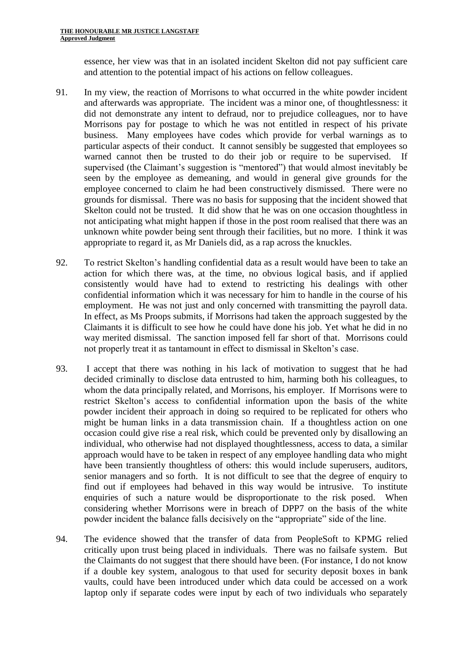essence, her view was that in an isolated incident Skelton did not pay sufficient care and attention to the potential impact of his actions on fellow colleagues.

- 91. In my view, the reaction of Morrisons to what occurred in the white powder incident and afterwards was appropriate. The incident was a minor one, of thoughtlessness: it did not demonstrate any intent to defraud, nor to prejudice colleagues, nor to have Morrisons pay for postage to which he was not entitled in respect of his private business. Many employees have codes which provide for verbal warnings as to particular aspects of their conduct. It cannot sensibly be suggested that employees so warned cannot then be trusted to do their job or require to be supervised. If supervised (the Claimant's suggestion is "mentored") that would almost inevitably be seen by the employee as demeaning, and would in general give grounds for the employee concerned to claim he had been constructively dismissed. There were no grounds for dismissal. There was no basis for supposing that the incident showed that Skelton could not be trusted. It did show that he was on one occasion thoughtless in not anticipating what might happen if those in the post room realised that there was an unknown white powder being sent through their facilities, but no more. I think it was appropriate to regard it, as Mr Daniels did, as a rap across the knuckles.
- 92. To restrict Skelton's handling confidential data as a result would have been to take an action for which there was, at the time, no obvious logical basis, and if applied consistently would have had to extend to restricting his dealings with other confidential information which it was necessary for him to handle in the course of his employment. He was not just and only concerned with transmitting the payroll data. In effect, as Ms Proops submits, if Morrisons had taken the approach suggested by the Claimants it is difficult to see how he could have done his job. Yet what he did in no way merited dismissal. The sanction imposed fell far short of that. Morrisons could not properly treat it as tantamount in effect to dismissal in Skelton's case.
- 93. I accept that there was nothing in his lack of motivation to suggest that he had decided criminally to disclose data entrusted to him, harming both his colleagues, to whom the data principally related, and Morrisons, his employer. If Morrisons were to restrict Skelton's access to confidential information upon the basis of the white powder incident their approach in doing so required to be replicated for others who might be human links in a data transmission chain. If a thoughtless action on one occasion could give rise a real risk, which could be prevented only by disallowing an individual, who otherwise had not displayed thoughtlessness, access to data, a similar approach would have to be taken in respect of any employee handling data who might have been transiently thoughtless of others: this would include superusers, auditors, senior managers and so forth. It is not difficult to see that the degree of enquiry to find out if employees had behaved in this way would be intrusive. To institute enquiries of such a nature would be disproportionate to the risk posed. When considering whether Morrisons were in breach of DPP7 on the basis of the white powder incident the balance falls decisively on the "appropriate" side of the line.
- 94. The evidence showed that the transfer of data from PeopleSoft to KPMG relied critically upon trust being placed in individuals. There was no failsafe system. But the Claimants do not suggest that there should have been. (For instance, I do not know if a double key system, analogous to that used for security deposit boxes in bank vaults, could have been introduced under which data could be accessed on a work laptop only if separate codes were input by each of two individuals who separately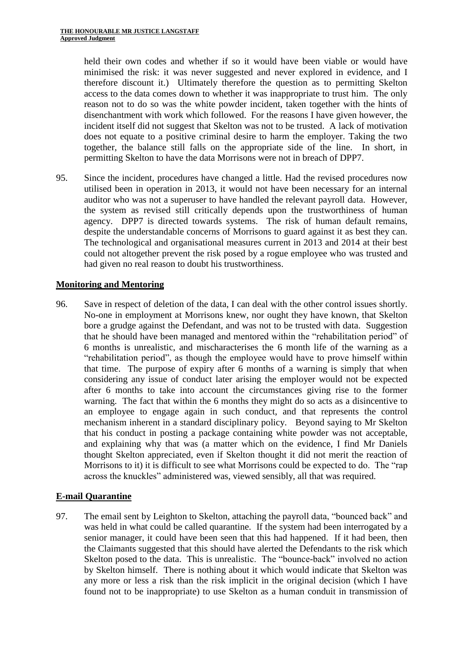held their own codes and whether if so it would have been viable or would have minimised the risk: it was never suggested and never explored in evidence, and I therefore discount it.) Ultimately therefore the question as to permitting Skelton access to the data comes down to whether it was inappropriate to trust him. The only reason not to do so was the white powder incident, taken together with the hints of disenchantment with work which followed. For the reasons I have given however, the incident itself did not suggest that Skelton was not to be trusted. A lack of motivation does not equate to a positive criminal desire to harm the employer. Taking the two together, the balance still falls on the appropriate side of the line. In short, in permitting Skelton to have the data Morrisons were not in breach of DPP7.

95. Since the incident, procedures have changed a little. Had the revised procedures now utilised been in operation in 2013, it would not have been necessary for an internal auditor who was not a superuser to have handled the relevant payroll data. However, the system as revised still critically depends upon the trustworthiness of human agency. DPP7 is directed towards systems. The risk of human default remains, despite the understandable concerns of Morrisons to guard against it as best they can. The technological and organisational measures current in 2013 and 2014 at their best could not altogether prevent the risk posed by a rogue employee who was trusted and had given no real reason to doubt his trustworthiness.

## **Monitoring and Mentoring**

96. Save in respect of deletion of the data, I can deal with the other control issues shortly. No-one in employment at Morrisons knew, nor ought they have known, that Skelton bore a grudge against the Defendant, and was not to be trusted with data. Suggestion that he should have been managed and mentored within the "rehabilitation period" of 6 months is unrealistic, and mischaracterises the 6 month life of the warning as a "rehabilitation period", as though the employee would have to prove himself within that time. The purpose of expiry after 6 months of a warning is simply that when considering any issue of conduct later arising the employer would not be expected after 6 months to take into account the circumstances giving rise to the former warning. The fact that within the 6 months they might do so acts as a disincentive to an employee to engage again in such conduct, and that represents the control mechanism inherent in a standard disciplinary policy. Beyond saying to Mr Skelton that his conduct in posting a package containing white powder was not acceptable, and explaining why that was (a matter which on the evidence, I find Mr Daniels thought Skelton appreciated, even if Skelton thought it did not merit the reaction of Morrisons to it) it is difficult to see what Morrisons could be expected to do. The "rap across the knuckles" administered was, viewed sensibly, all that was required.

## **E-mail Quarantine**

97. The email sent by Leighton to Skelton, attaching the payroll data, "bounced back" and was held in what could be called quarantine. If the system had been interrogated by a senior manager, it could have been seen that this had happened. If it had been, then the Claimants suggested that this should have alerted the Defendants to the risk which Skelton posed to the data. This is unrealistic. The "bounce-back" involved no action by Skelton himself. There is nothing about it which would indicate that Skelton was any more or less a risk than the risk implicit in the original decision (which I have found not to be inappropriate) to use Skelton as a human conduit in transmission of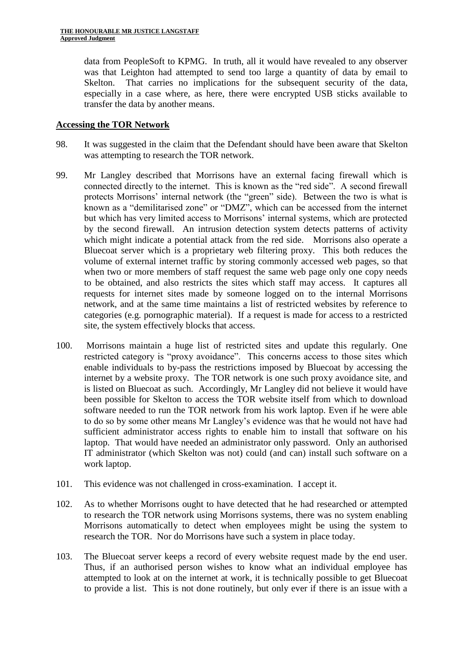data from PeopleSoft to KPMG. In truth, all it would have revealed to any observer was that Leighton had attempted to send too large a quantity of data by email to Skelton. That carries no implications for the subsequent security of the data, especially in a case where, as here, there were encrypted USB sticks available to transfer the data by another means.

## **Accessing the TOR Network**

- 98. It was suggested in the claim that the Defendant should have been aware that Skelton was attempting to research the TOR network.
- 99. Mr Langley described that Morrisons have an external facing firewall which is connected directly to the internet. This is known as the "red side". A second firewall protects Morrisons' internal network (the "green" side). Between the two is what is known as a "demilitarised zone" or "DMZ", which can be accessed from the internet but which has very limited access to Morrisons' internal systems, which are protected by the second firewall. An intrusion detection system detects patterns of activity which might indicate a potential attack from the red side. Morrisons also operate a Bluecoat server which is a proprietary web filtering proxy. This both reduces the volume of external internet traffic by storing commonly accessed web pages, so that when two or more members of staff request the same web page only one copy needs to be obtained, and also restricts the sites which staff may access. It captures all requests for internet sites made by someone logged on to the internal Morrisons network, and at the same time maintains a list of restricted websites by reference to categories (e.g. pornographic material). If a request is made for access to a restricted site, the system effectively blocks that access.
- 100. Morrisons maintain a huge list of restricted sites and update this regularly. One restricted category is "proxy avoidance". This concerns access to those sites which enable individuals to by-pass the restrictions imposed by Bluecoat by accessing the internet by a website proxy. The TOR network is one such proxy avoidance site, and is listed on Bluecoat as such. Accordingly, Mr Langley did not believe it would have been possible for Skelton to access the TOR website itself from which to download software needed to run the TOR network from his work laptop. Even if he were able to do so by some other means Mr Langley's evidence was that he would not have had sufficient administrator access rights to enable him to install that software on his laptop. That would have needed an administrator only password. Only an authorised IT administrator (which Skelton was not) could (and can) install such software on a work laptop.
- 101. This evidence was not challenged in cross-examination. I accept it.
- 102. As to whether Morrisons ought to have detected that he had researched or attempted to research the TOR network using Morrisons systems, there was no system enabling Morrisons automatically to detect when employees might be using the system to research the TOR. Nor do Morrisons have such a system in place today.
- 103. The Bluecoat server keeps a record of every website request made by the end user. Thus, if an authorised person wishes to know what an individual employee has attempted to look at on the internet at work, it is technically possible to get Bluecoat to provide a list. This is not done routinely, but only ever if there is an issue with a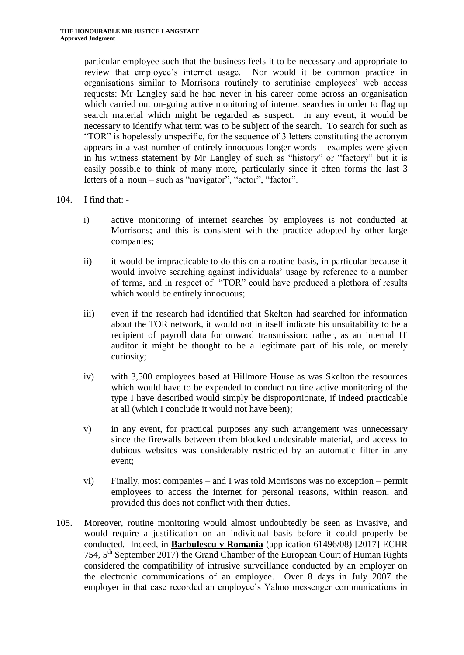particular employee such that the business feels it to be necessary and appropriate to review that employee's internet usage. Nor would it be common practice in organisations similar to Morrisons routinely to scrutinise employees' web access requests: Mr Langley said he had never in his career come across an organisation which carried out on-going active monitoring of internet searches in order to flag up search material which might be regarded as suspect. In any event, it would be necessary to identify what term was to be subject of the search. To search for such as "TOR" is hopelessly unspecific, for the sequence of 3 letters constituting the acronym appears in a vast number of entirely innocuous longer words – examples were given in his witness statement by Mr Langley of such as "history" or "factory" but it is easily possible to think of many more, particularly since it often forms the last 3 letters of a noun – such as "navigator", "actor", "factor".

- 104. I find that:
	- i) active monitoring of internet searches by employees is not conducted at Morrisons; and this is consistent with the practice adopted by other large companies;
	- ii) it would be impracticable to do this on a routine basis, in particular because it would involve searching against individuals' usage by reference to a number of terms, and in respect of "TOR" could have produced a plethora of results which would be entirely innocuous;
	- iii) even if the research had identified that Skelton had searched for information about the TOR network, it would not in itself indicate his unsuitability to be a recipient of payroll data for onward transmission: rather, as an internal IT auditor it might be thought to be a legitimate part of his role, or merely curiosity;
	- iv) with 3,500 employees based at Hillmore House as was Skelton the resources which would have to be expended to conduct routine active monitoring of the type I have described would simply be disproportionate, if indeed practicable at all (which I conclude it would not have been);
	- v) in any event, for practical purposes any such arrangement was unnecessary since the firewalls between them blocked undesirable material, and access to dubious websites was considerably restricted by an automatic filter in any event;
	- vi) Finally, most companies and I was told Morrisons was no exception permit employees to access the internet for personal reasons, within reason, and provided this does not conflict with their duties.
- 105. Moreover, routine monitoring would almost undoubtedly be seen as invasive, and would require a justification on an individual basis before it could properly be conducted. Indeed, in **Barbulescu v Romania** (application 61496/08) [2017] ECHR 754, 5<sup>th</sup> September 2017) the Grand Chamber of the European Court of Human Rights considered the compatibility of intrusive surveillance conducted by an employer on the electronic communications of an employee. Over 8 days in July 2007 the employer in that case recorded an employee's Yahoo messenger communications in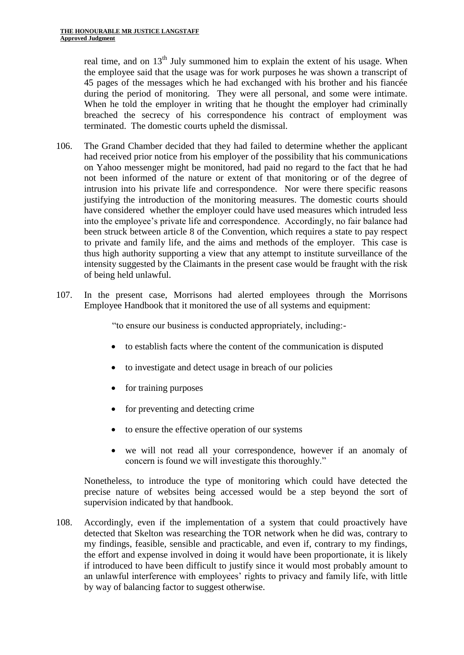real time, and on  $13<sup>th</sup>$  July summoned him to explain the extent of his usage. When the employee said that the usage was for work purposes he was shown a transcript of 45 pages of the messages which he had exchanged with his brother and his fiancée during the period of monitoring. They were all personal, and some were intimate. When he told the employer in writing that he thought the employer had criminally breached the secrecy of his correspondence his contract of employment was terminated. The domestic courts upheld the dismissal.

- 106. The Grand Chamber decided that they had failed to determine whether the applicant had received prior notice from his employer of the possibility that his communications on Yahoo messenger might be monitored, had paid no regard to the fact that he had not been informed of the nature or extent of that monitoring or of the degree of intrusion into his private life and correspondence. Nor were there specific reasons justifying the introduction of the monitoring measures. The domestic courts should have considered whether the employer could have used measures which intruded less into the employee's private life and correspondence. Accordingly, no fair balance had been struck between article 8 of the Convention, which requires a state to pay respect to private and family life, and the aims and methods of the employer. This case is thus high authority supporting a view that any attempt to institute surveillance of the intensity suggested by the Claimants in the present case would be fraught with the risk of being held unlawful.
- 107. In the present case, Morrisons had alerted employees through the Morrisons Employee Handbook that it monitored the use of all systems and equipment:

"to ensure our business is conducted appropriately, including:-

- to establish facts where the content of the communication is disputed
- to investigate and detect usage in breach of our policies
- for training purposes
- for preventing and detecting crime
- to ensure the effective operation of our systems
- we will not read all your correspondence, however if an anomaly of concern is found we will investigate this thoroughly."

Nonetheless, to introduce the type of monitoring which could have detected the precise nature of websites being accessed would be a step beyond the sort of supervision indicated by that handbook.

108. Accordingly, even if the implementation of a system that could proactively have detected that Skelton was researching the TOR network when he did was, contrary to my findings, feasible, sensible and practicable, and even if, contrary to my findings, the effort and expense involved in doing it would have been proportionate, it is likely if introduced to have been difficult to justify since it would most probably amount to an unlawful interference with employees' rights to privacy and family life, with little by way of balancing factor to suggest otherwise.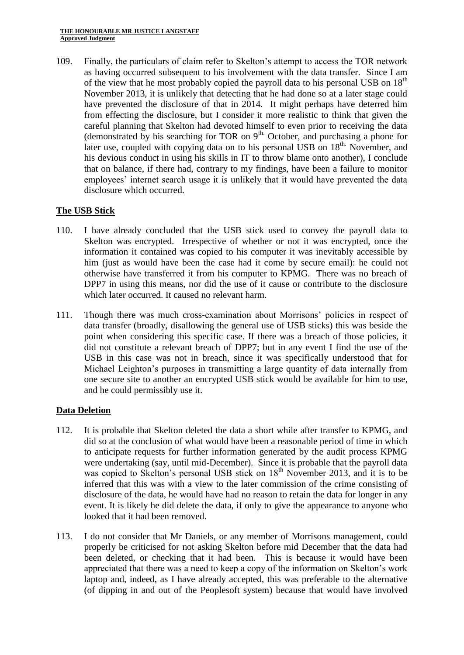109. Finally, the particulars of claim refer to Skelton's attempt to access the TOR network as having occurred subsequent to his involvement with the data transfer. Since I am of the view that he most probably copied the payroll data to his personal USB on  $18<sup>th</sup>$ November 2013, it is unlikely that detecting that he had done so at a later stage could have prevented the disclosure of that in 2014. It might perhaps have deterred him from effecting the disclosure, but I consider it more realistic to think that given the careful planning that Skelton had devoted himself to even prior to receiving the data (demonstrated by his searching for TOR on  $9^{th}$  October, and purchasing a phone for later use, coupled with copying data on to his personal USB on 18<sup>th.</sup> November, and his devious conduct in using his skills in IT to throw blame onto another), I conclude that on balance, if there had, contrary to my findings, have been a failure to monitor employees' internet search usage it is unlikely that it would have prevented the data disclosure which occurred.

## **The USB Stick**

- 110. I have already concluded that the USB stick used to convey the payroll data to Skelton was encrypted. Irrespective of whether or not it was encrypted, once the information it contained was copied to his computer it was inevitably accessible by him (just as would have been the case had it come by secure email): he could not otherwise have transferred it from his computer to KPMG. There was no breach of DPP7 in using this means, nor did the use of it cause or contribute to the disclosure which later occurred. It caused no relevant harm.
- 111. Though there was much cross-examination about Morrisons' policies in respect of data transfer (broadly, disallowing the general use of USB sticks) this was beside the point when considering this specific case. If there was a breach of those policies, it did not constitute a relevant breach of DPP7; but in any event I find the use of the USB in this case was not in breach, since it was specifically understood that for Michael Leighton's purposes in transmitting a large quantity of data internally from one secure site to another an encrypted USB stick would be available for him to use, and he could permissibly use it.

## **Data Deletion**

- 112. It is probable that Skelton deleted the data a short while after transfer to KPMG, and did so at the conclusion of what would have been a reasonable period of time in which to anticipate requests for further information generated by the audit process KPMG were undertaking (say, until mid-December). Since it is probable that the payroll data was copied to Skelton's personal USB stick on  $18<sup>th</sup>$  November 2013, and it is to be inferred that this was with a view to the later commission of the crime consisting of disclosure of the data, he would have had no reason to retain the data for longer in any event. It is likely he did delete the data, if only to give the appearance to anyone who looked that it had been removed.
- 113. I do not consider that Mr Daniels, or any member of Morrisons management, could properly be criticised for not asking Skelton before mid December that the data had been deleted, or checking that it had been. This is because it would have been appreciated that there was a need to keep a copy of the information on Skelton's work laptop and, indeed, as I have already accepted, this was preferable to the alternative (of dipping in and out of the Peoplesoft system) because that would have involved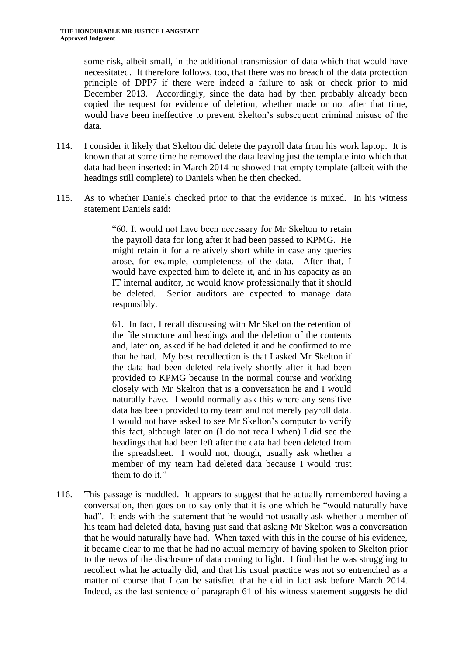some risk, albeit small, in the additional transmission of data which that would have necessitated. It therefore follows, too, that there was no breach of the data protection principle of DPP7 if there were indeed a failure to ask or check prior to mid December 2013. Accordingly, since the data had by then probably already been copied the request for evidence of deletion, whether made or not after that time, would have been ineffective to prevent Skelton's subsequent criminal misuse of the data.

- 114. I consider it likely that Skelton did delete the payroll data from his work laptop. It is known that at some time he removed the data leaving just the template into which that data had been inserted: in March 2014 he showed that empty template (albeit with the headings still complete) to Daniels when he then checked.
- 115. As to whether Daniels checked prior to that the evidence is mixed. In his witness statement Daniels said:

"60. It would not have been necessary for Mr Skelton to retain the payroll data for long after it had been passed to KPMG. He might retain it for a relatively short while in case any queries arose, for example, completeness of the data. After that, I would have expected him to delete it, and in his capacity as an IT internal auditor, he would know professionally that it should be deleted. Senior auditors are expected to manage data responsibly.

61. In fact, I recall discussing with Mr Skelton the retention of the file structure and headings and the deletion of the contents and, later on, asked if he had deleted it and he confirmed to me that he had. My best recollection is that I asked Mr Skelton if the data had been deleted relatively shortly after it had been provided to KPMG because in the normal course and working closely with Mr Skelton that is a conversation he and I would naturally have. I would normally ask this where any sensitive data has been provided to my team and not merely payroll data. I would not have asked to see Mr Skelton's computer to verify this fact, although later on (I do not recall when) I did see the headings that had been left after the data had been deleted from the spreadsheet. I would not, though, usually ask whether a member of my team had deleted data because I would trust them to do it."

116. This passage is muddled. It appears to suggest that he actually remembered having a conversation, then goes on to say only that it is one which he "would naturally have had". It ends with the statement that he would not usually ask whether a member of his team had deleted data, having just said that asking Mr Skelton was a conversation that he would naturally have had. When taxed with this in the course of his evidence, it became clear to me that he had no actual memory of having spoken to Skelton prior to the news of the disclosure of data coming to light. I find that he was struggling to recollect what he actually did, and that his usual practice was not so entrenched as a matter of course that I can be satisfied that he did in fact ask before March 2014. Indeed, as the last sentence of paragraph 61 of his witness statement suggests he did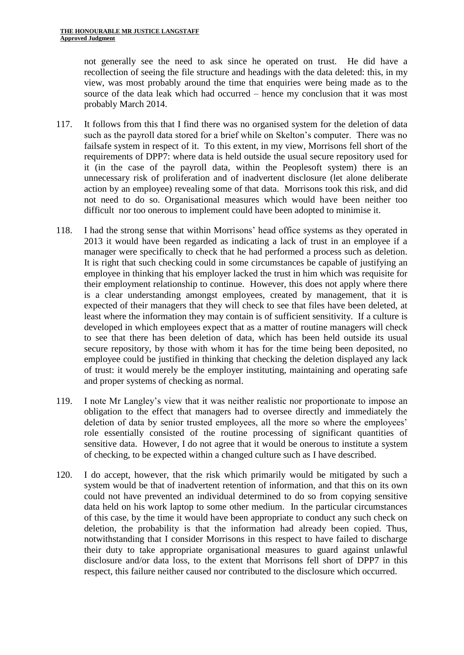not generally see the need to ask since he operated on trust. He did have a recollection of seeing the file structure and headings with the data deleted: this, in my view, was most probably around the time that enquiries were being made as to the source of the data leak which had occurred – hence my conclusion that it was most probably March 2014.

- 117. It follows from this that I find there was no organised system for the deletion of data such as the payroll data stored for a brief while on Skelton's computer. There was no failsafe system in respect of it. To this extent, in my view, Morrisons fell short of the requirements of DPP7: where data is held outside the usual secure repository used for it (in the case of the payroll data, within the Peoplesoft system) there is an unnecessary risk of proliferation and of inadvertent disclosure (let alone deliberate action by an employee) revealing some of that data. Morrisons took this risk, and did not need to do so. Organisational measures which would have been neither too difficult nor too onerous to implement could have been adopted to minimise it.
- 118. I had the strong sense that within Morrisons' head office systems as they operated in 2013 it would have been regarded as indicating a lack of trust in an employee if a manager were specifically to check that he had performed a process such as deletion. It is right that such checking could in some circumstances be capable of justifying an employee in thinking that his employer lacked the trust in him which was requisite for their employment relationship to continue. However, this does not apply where there is a clear understanding amongst employees, created by management, that it is expected of their managers that they will check to see that files have been deleted, at least where the information they may contain is of sufficient sensitivity. If a culture is developed in which employees expect that as a matter of routine managers will check to see that there has been deletion of data, which has been held outside its usual secure repository, by those with whom it has for the time being been deposited, no employee could be justified in thinking that checking the deletion displayed any lack of trust: it would merely be the employer instituting, maintaining and operating safe and proper systems of checking as normal.
- 119. I note Mr Langley's view that it was neither realistic nor proportionate to impose an obligation to the effect that managers had to oversee directly and immediately the deletion of data by senior trusted employees, all the more so where the employees' role essentially consisted of the routine processing of significant quantities of sensitive data. However, I do not agree that it would be onerous to institute a system of checking, to be expected within a changed culture such as I have described.
- 120. I do accept, however, that the risk which primarily would be mitigated by such a system would be that of inadvertent retention of information, and that this on its own could not have prevented an individual determined to do so from copying sensitive data held on his work laptop to some other medium. In the particular circumstances of this case, by the time it would have been appropriate to conduct any such check on deletion, the probability is that the information had already been copied. Thus, notwithstanding that I consider Morrisons in this respect to have failed to discharge their duty to take appropriate organisational measures to guard against unlawful disclosure and/or data loss, to the extent that Morrisons fell short of DPP7 in this respect, this failure neither caused nor contributed to the disclosure which occurred.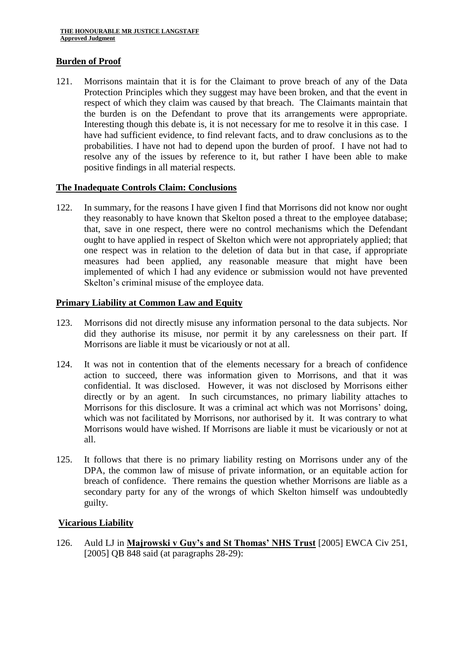## **Burden of Proof**

121. Morrisons maintain that it is for the Claimant to prove breach of any of the Data Protection Principles which they suggest may have been broken, and that the event in respect of which they claim was caused by that breach. The Claimants maintain that the burden is on the Defendant to prove that its arrangements were appropriate. Interesting though this debate is, it is not necessary for me to resolve it in this case. I have had sufficient evidence, to find relevant facts, and to draw conclusions as to the probabilities. I have not had to depend upon the burden of proof. I have not had to resolve any of the issues by reference to it, but rather I have been able to make positive findings in all material respects.

## **The Inadequate Controls Claim: Conclusions**

122. In summary, for the reasons I have given I find that Morrisons did not know nor ought they reasonably to have known that Skelton posed a threat to the employee database; that, save in one respect, there were no control mechanisms which the Defendant ought to have applied in respect of Skelton which were not appropriately applied; that one respect was in relation to the deletion of data but in that case, if appropriate measures had been applied, any reasonable measure that might have been implemented of which I had any evidence or submission would not have prevented Skelton's criminal misuse of the employee data.

## **Primary Liability at Common Law and Equity**

- 123. Morrisons did not directly misuse any information personal to the data subjects. Nor did they authorise its misuse, nor permit it by any carelessness on their part. If Morrisons are liable it must be vicariously or not at all.
- 124. It was not in contention that of the elements necessary for a breach of confidence action to succeed, there was information given to Morrisons, and that it was confidential. It was disclosed. However, it was not disclosed by Morrisons either directly or by an agent. In such circumstances, no primary liability attaches to Morrisons for this disclosure. It was a criminal act which was not Morrisons' doing, which was not facilitated by Morrisons, nor authorised by it. It was contrary to what Morrisons would have wished. If Morrisons are liable it must be vicariously or not at all.
- 125. It follows that there is no primary liability resting on Morrisons under any of the DPA, the common law of misuse of private information, or an equitable action for breach of confidence. There remains the question whether Morrisons are liable as a secondary party for any of the wrongs of which Skelton himself was undoubtedly guilty.

# **Vicarious Liability**

126. Auld LJ in **Majrowski v Guy's and St Thomas' NHS Trust** [2005] EWCA Civ 251, [2005] QB 848 said (at paragraphs 28-29):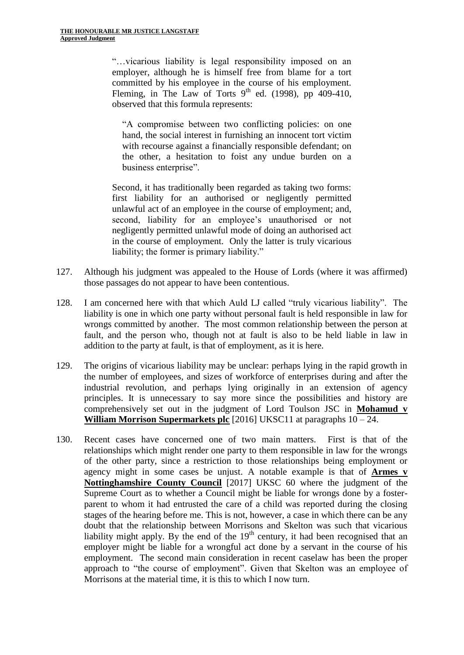"…vicarious liability is legal responsibility imposed on an employer, although he is himself free from blame for a tort committed by his employee in the course of his employment. Fleming, in The Law of Torts  $9<sup>th</sup>$  ed. (1998), pp 409-410, observed that this formula represents:

"A compromise between two conflicting policies: on one hand, the social interest in furnishing an innocent tort victim with recourse against a financially responsible defendant; on the other, a hesitation to foist any undue burden on a business enterprise".

Second, it has traditionally been regarded as taking two forms: first liability for an authorised or negligently permitted unlawful act of an employee in the course of employment; and, second, liability for an employee's unauthorised or not negligently permitted unlawful mode of doing an authorised act in the course of employment. Only the latter is truly vicarious liability; the former is primary liability."

- 127. Although his judgment was appealed to the House of Lords (where it was affirmed) those passages do not appear to have been contentious.
- 128. I am concerned here with that which Auld LJ called "truly vicarious liability". The liability is one in which one party without personal fault is held responsible in law for wrongs committed by another. The most common relationship between the person at fault, and the person who, though not at fault is also to be held liable in law in addition to the party at fault, is that of employment, as it is here.
- 129. The origins of vicarious liability may be unclear: perhaps lying in the rapid growth in the number of employees, and sizes of workforce of enterprises during and after the industrial revolution, and perhaps lying originally in an extension of agency principles. It is unnecessary to say more since the possibilities and history are comprehensively set out in the judgment of Lord Toulson JSC in **Mohamud v William Morrison Supermarkets plc** [2016] UKSC11 at paragraphs 10 – 24.
- 130. Recent cases have concerned one of two main matters. First is that of the relationships which might render one party to them responsible in law for the wrongs of the other party, since a restriction to those relationships being employment or agency might in some cases be unjust. A notable example is that of **Armes v Nottinghamshire County Council** [2017] UKSC 60 where the judgment of the Supreme Court as to whether a Council might be liable for wrongs done by a fosterparent to whom it had entrusted the care of a child was reported during the closing stages of the hearing before me. This is not, however, a case in which there can be any doubt that the relationship between Morrisons and Skelton was such that vicarious liability might apply. By the end of the  $19<sup>th</sup>$  century, it had been recognised that an employer might be liable for a wrongful act done by a servant in the course of his employment. The second main consideration in recent caselaw has been the proper approach to "the course of employment". Given that Skelton was an employee of Morrisons at the material time, it is this to which I now turn.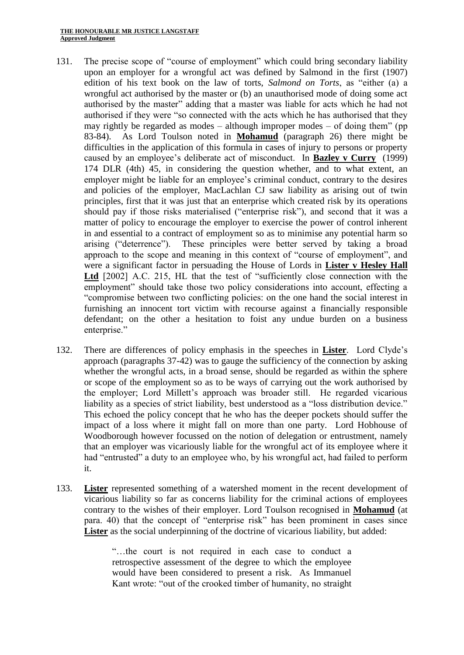- 131. The precise scope of "course of employment" which could bring secondary liability upon an employer for a wrongful act was defined by Salmond in the first (1907) edition of his text book on the law of torts, *Salmond on Torts*, as "either (a) a wrongful act authorised by the master or (b) an unauthorised mode of doing some act authorised by the master" adding that a master was liable for acts which he had not authorised if they were "so connected with the acts which he has authorised that they may rightly be regarded as modes – although improper modes – of doing them" (pp 83-84). As Lord Toulson noted in **Mohamud** (paragraph 26) there might be difficulties in the application of this formula in cases of injury to persons or property caused by an employee's deliberate act of misconduct. In **Bazley v Curry** (1999) 174 DLR (4th) 45, in considering the question whether, and to what extent, an employer might be liable for an employee's criminal conduct, contrary to the desires and policies of the employer, MacLachlan CJ saw liability as arising out of twin principles, first that it was just that an enterprise which created risk by its operations should pay if those risks materialised ("enterprise risk"), and second that it was a matter of policy to encourage the employer to exercise the power of control inherent in and essential to a contract of employment so as to minimise any potential harm so arising ("deterrence"). These principles were better served by taking a broad approach to the scope and meaning in this context of "course of employment", and were a significant factor in persuading the House of Lords in **Lister v Hesley Hall Ltd** [2002] A.C. 215, HL that the test of "sufficiently close connection with the employment" should take those two policy considerations into account, effecting a "compromise between two conflicting policies: on the one hand the social interest in furnishing an innocent tort victim with recourse against a financially responsible defendant; on the other a hesitation to foist any undue burden on a business enterprise."
- 132. There are differences of policy emphasis in the speeches in **Lister**. Lord Clyde's approach (paragraphs 37-42) was to gauge the sufficiency of the connection by asking whether the wrongful acts, in a broad sense, should be regarded as within the sphere or scope of the employment so as to be ways of carrying out the work authorised by the employer; Lord Millett's approach was broader still. He regarded vicarious liability as a species of strict liability, best understood as a "loss distribution device." This echoed the policy concept that he who has the deeper pockets should suffer the impact of a loss where it might fall on more than one party. Lord Hobhouse of Woodborough however focussed on the notion of delegation or entrustment, namely that an employer was vicariously liable for the wrongful act of its employee where it had "entrusted" a duty to an employee who, by his wrongful act, had failed to perform it.
- 133. **Lister** represented something of a watershed moment in the recent development of vicarious liability so far as concerns liability for the criminal actions of employees contrary to the wishes of their employer. Lord Toulson recognised in **Mohamud** (at para. 40) that the concept of "enterprise risk" has been prominent in cases since **Lister** as the social underpinning of the doctrine of vicarious liability, but added:

"…the court is not required in each case to conduct a retrospective assessment of the degree to which the employee would have been considered to present a risk. As Immanuel Kant wrote: "out of the crooked timber of humanity, no straight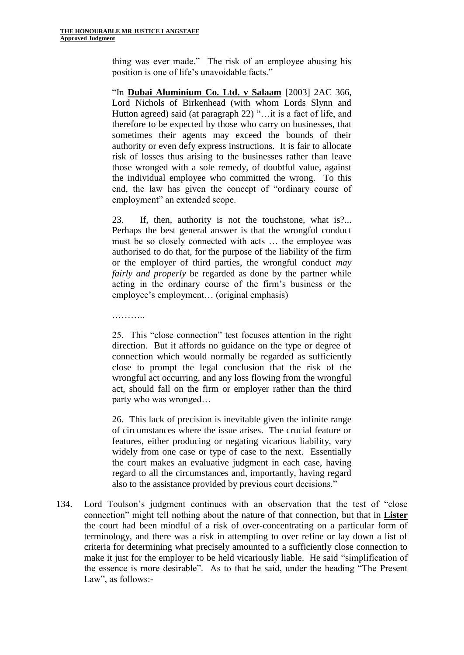………..

thing was ever made." The risk of an employee abusing his position is one of life's unavoidable facts."

"In **Dubai Aluminium Co. Ltd. v Salaam** [2003] 2AC 366, Lord Nichols of Birkenhead (with whom Lords Slynn and Hutton agreed) said (at paragraph 22) "…it is a fact of life, and therefore to be expected by those who carry on businesses, that sometimes their agents may exceed the bounds of their authority or even defy express instructions. It is fair to allocate risk of losses thus arising to the businesses rather than leave those wronged with a sole remedy, of doubtful value, against the individual employee who committed the wrong. To this end, the law has given the concept of "ordinary course of employment" an extended scope.

23. If, then, authority is not the touchstone, what is?... Perhaps the best general answer is that the wrongful conduct must be so closely connected with acts … the employee was authorised to do that, for the purpose of the liability of the firm or the employer of third parties, the wrongful conduct *may fairly and properly* be regarded as done by the partner while acting in the ordinary course of the firm's business or the employee's employment… (original emphasis)

25. This "close connection" test focuses attention in the right direction. But it affords no guidance on the type or degree of connection which would normally be regarded as sufficiently close to prompt the legal conclusion that the risk of the wrongful act occurring, and any loss flowing from the wrongful act, should fall on the firm or employer rather than the third party who was wronged…

26. This lack of precision is inevitable given the infinite range of circumstances where the issue arises. The crucial feature or features, either producing or negating vicarious liability, vary widely from one case or type of case to the next. Essentially the court makes an evaluative judgment in each case, having regard to all the circumstances and, importantly, having regard also to the assistance provided by previous court decisions."

134. Lord Toulson's judgment continues with an observation that the test of "close connection" might tell nothing about the nature of that connection, but that in **Lister** the court had been mindful of a risk of over-concentrating on a particular form of terminology, and there was a risk in attempting to over refine or lay down a list of criteria for determining what precisely amounted to a sufficiently close connection to make it just for the employer to be held vicariously liable. He said "simplification of the essence is more desirable". As to that he said, under the heading "The Present Law", as follows:-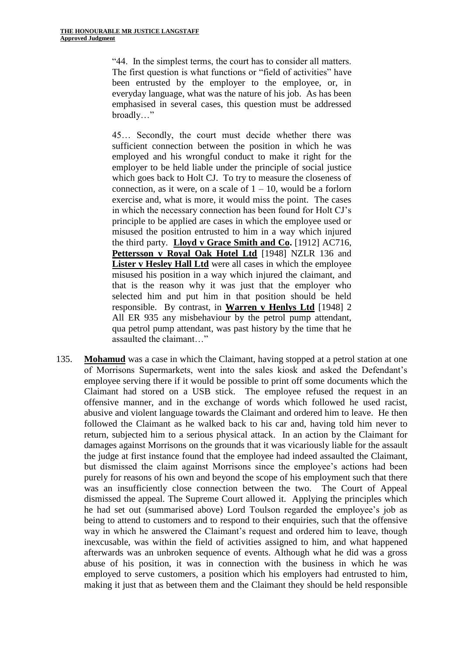"44. In the simplest terms, the court has to consider all matters. The first question is what functions or "field of activities" have been entrusted by the employer to the employee, or, in everyday language, what was the nature of his job. As has been emphasised in several cases, this question must be addressed broadly…"

45… Secondly, the court must decide whether there was sufficient connection between the position in which he was employed and his wrongful conduct to make it right for the employer to be held liable under the principle of social justice which goes back to Holt CJ. To try to measure the closeness of connection, as it were, on a scale of  $1 - 10$ , would be a forlorn exercise and, what is more, it would miss the point. The cases in which the necessary connection has been found for Holt CJ's principle to be applied are cases in which the employee used or misused the position entrusted to him in a way which injured the third party. **Lloyd v Grace Smith and Co.** [1912] AC716, **Pettersson v Royal Oak Hotel Ltd** [1948] NZLR 136 and **Lister v Hesley Hall Ltd** were all cases in which the employee misused his position in a way which injured the claimant, and that is the reason why it was just that the employer who selected him and put him in that position should be held responsible. By contrast, in **Warren v Henlys Ltd** [1948] 2 All ER 935 any misbehaviour by the petrol pump attendant, qua petrol pump attendant, was past history by the time that he assaulted the claimant…"

135. **Mohamud** was a case in which the Claimant, having stopped at a petrol station at one of Morrisons Supermarkets, went into the sales kiosk and asked the Defendant's employee serving there if it would be possible to print off some documents which the Claimant had stored on a USB stick. The employee refused the request in an offensive manner, and in the exchange of words which followed he used racist, abusive and violent language towards the Claimant and ordered him to leave. He then followed the Claimant as he walked back to his car and, having told him never to return, subjected him to a serious physical attack. In an action by the Claimant for damages against Morrisons on the grounds that it was vicariously liable for the assault the judge at first instance found that the employee had indeed assaulted the Claimant, but dismissed the claim against Morrisons since the employee's actions had been purely for reasons of his own and beyond the scope of his employment such that there was an insufficiently close connection between the two. The Court of Appeal dismissed the appeal. The Supreme Court allowed it. Applying the principles which he had set out (summarised above) Lord Toulson regarded the employee's job as being to attend to customers and to respond to their enquiries, such that the offensive way in which he answered the Claimant's request and ordered him to leave, though inexcusable, was within the field of activities assigned to him, and what happened afterwards was an unbroken sequence of events. Although what he did was a gross abuse of his position, it was in connection with the business in which he was employed to serve customers, a position which his employers had entrusted to him, making it just that as between them and the Claimant they should be held responsible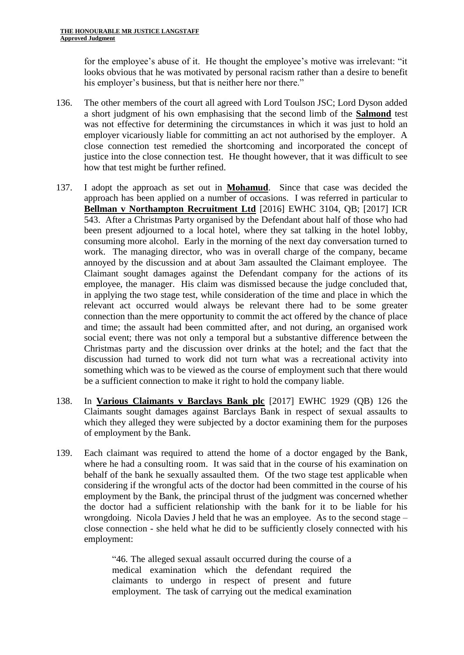for the employee's abuse of it. He thought the employee's motive was irrelevant: "it looks obvious that he was motivated by personal racism rather than a desire to benefit his employer's business, but that is neither here nor there."

- 136. The other members of the court all agreed with Lord Toulson JSC; Lord Dyson added a short judgment of his own emphasising that the second limb of the **Salmond** test was not effective for determining the circumstances in which it was just to hold an employer vicariously liable for committing an act not authorised by the employer. A close connection test remedied the shortcoming and incorporated the concept of justice into the close connection test. He thought however, that it was difficult to see how that test might be further refined.
- 137. I adopt the approach as set out in **Mohamud**. Since that case was decided the approach has been applied on a number of occasions. I was referred in particular to **Bellman v Northampton Recruitment Ltd** [2016] EWHC 3104, QB; [2017] ICR 543. After a Christmas Party organised by the Defendant about half of those who had been present adjourned to a local hotel, where they sat talking in the hotel lobby, consuming more alcohol. Early in the morning of the next day conversation turned to work. The managing director, who was in overall charge of the company, became annoyed by the discussion and at about 3am assaulted the Claimant employee. The Claimant sought damages against the Defendant company for the actions of its employee, the manager. His claim was dismissed because the judge concluded that, in applying the two stage test, while consideration of the time and place in which the relevant act occurred would always be relevant there had to be some greater connection than the mere opportunity to commit the act offered by the chance of place and time; the assault had been committed after, and not during, an organised work social event; there was not only a temporal but a substantive difference between the Christmas party and the discussion over drinks at the hotel; and the fact that the discussion had turned to work did not turn what was a recreational activity into something which was to be viewed as the course of employment such that there would be a sufficient connection to make it right to hold the company liable.
- 138. In **Various Claimants v Barclays Bank plc** [2017] EWHC 1929 (QB) 126 the Claimants sought damages against Barclays Bank in respect of sexual assaults to which they alleged they were subjected by a doctor examining them for the purposes of employment by the Bank.
- 139. Each claimant was required to attend the home of a doctor engaged by the Bank, where he had a consulting room. It was said that in the course of his examination on behalf of the bank he sexually assaulted them. Of the two stage test applicable when considering if the wrongful acts of the doctor had been committed in the course of his employment by the Bank, the principal thrust of the judgment was concerned whether the doctor had a sufficient relationship with the bank for it to be liable for his wrongdoing. Nicola Davies J held that he was an employee. As to the second stage – close connection - she held what he did to be sufficiently closely connected with his employment:

"46. The alleged sexual assault occurred during the course of a medical examination which the defendant required the claimants to undergo in respect of present and future employment. The task of carrying out the medical examination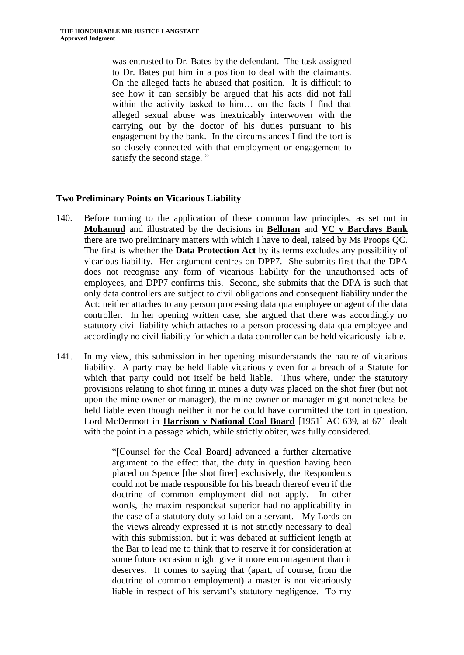was entrusted to Dr. Bates by the defendant. The task assigned to Dr. Bates put him in a position to deal with the claimants. On the alleged facts he abused that position. It is difficult to see how it can sensibly be argued that his acts did not fall within the activity tasked to him… on the facts I find that alleged sexual abuse was inextricably interwoven with the carrying out by the doctor of his duties pursuant to his engagement by the bank. In the circumstances I find the tort is so closely connected with that employment or engagement to satisfy the second stage."

## **Two Preliminary Points on Vicarious Liability**

- 140. Before turning to the application of these common law principles, as set out in **Mohamud** and illustrated by the decisions in **Bellman** and **VC v Barclays Bank** there are two preliminary matters with which I have to deal, raised by Ms Proops QC. The first is whether the **Data Protection Act** by its terms excludes any possibility of vicarious liability. Her argument centres on DPP7. She submits first that the DPA does not recognise any form of vicarious liability for the unauthorised acts of employees, and DPP7 confirms this. Second, she submits that the DPA is such that only data controllers are subject to civil obligations and consequent liability under the Act: neither attaches to any person processing data qua employee or agent of the data controller. In her opening written case, she argued that there was accordingly no statutory civil liability which attaches to a person processing data qua employee and accordingly no civil liability for which a data controller can be held vicariously liable.
- 141. In my view, this submission in her opening misunderstands the nature of vicarious liability. A party may be held liable vicariously even for a breach of a Statute for which that party could not itself be held liable. Thus where, under the statutory provisions relating to shot firing in mines a duty was placed on the shot firer (but not upon the mine owner or manager), the mine owner or manager might nonetheless be held liable even though neither it nor he could have committed the tort in question. Lord McDermott in **Harrison v National Coal Board** [1951] AC 639, at 671 dealt with the point in a passage which, while strictly obiter, was fully considered.

"[Counsel for the Coal Board] advanced a further alternative argument to the effect that, the duty in question having been placed on Spence [the shot firer] exclusively, the Respondents could not be made responsible for his breach thereof even if the doctrine of common employment did not apply. In other words, the maxim respondeat superior had no applicability in the case of a statutory duty so laid on a servant. My Lords on the views already expressed it is not strictly necessary to deal with this submission. but it was debated at sufficient length at the Bar to lead me to think that to reserve it for consideration at some future occasion might give it more encouragement than it deserves. It comes to saying that (apart, of course, from the doctrine of common employment) a master is not vicariously liable in respect of his servant's statutory negligence. To my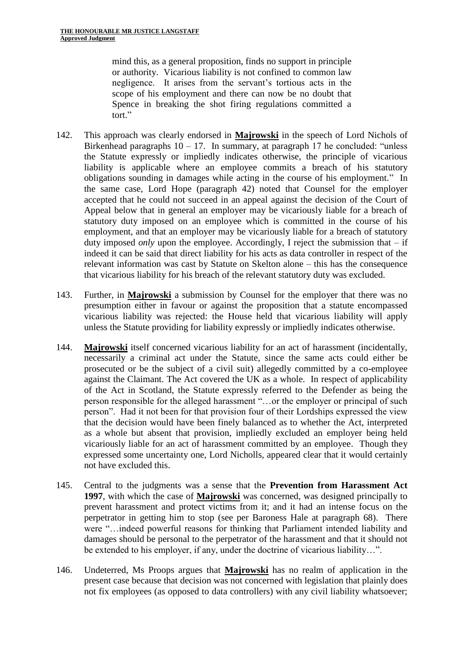mind this, as a general proposition, finds no support in principle or authority. Vicarious liability is not confined to common law negligence. It arises from the servant's tortious acts in the scope of his employment and there can now be no doubt that Spence in breaking the shot firing regulations committed a tort."

- 142. This approach was clearly endorsed in **Majrowski** in the speech of Lord Nichols of Birkenhead paragraphs  $10 - 17$ . In summary, at paragraph 17 he concluded: "unless" the Statute expressly or impliedly indicates otherwise, the principle of vicarious liability is applicable where an employee commits a breach of his statutory obligations sounding in damages while acting in the course of his employment." In the same case, Lord Hope (paragraph 42) noted that Counsel for the employer accepted that he could not succeed in an appeal against the decision of the Court of Appeal below that in general an employer may be vicariously liable for a breach of statutory duty imposed on an employee which is committed in the course of his employment, and that an employer may be vicariously liable for a breach of statutory duty imposed *only* upon the employee. Accordingly, I reject the submission that – if indeed it can be said that direct liability for his acts as data controller in respect of the relevant information was cast by Statute on Skelton alone – this has the consequence that vicarious liability for his breach of the relevant statutory duty was excluded.
- 143. Further, in **Majrowski** a submission by Counsel for the employer that there was no presumption either in favour or against the proposition that a statute encompassed vicarious liability was rejected: the House held that vicarious liability will apply unless the Statute providing for liability expressly or impliedly indicates otherwise.
- 144. **Majrowski** itself concerned vicarious liability for an act of harassment (incidentally, necessarily a criminal act under the Statute, since the same acts could either be prosecuted or be the subject of a civil suit) allegedly committed by a co-employee against the Claimant. The Act covered the UK as a whole. In respect of applicability of the Act in Scotland, the Statute expressly referred to the Defender as being the person responsible for the alleged harassment "…or the employer or principal of such person". Had it not been for that provision four of their Lordships expressed the view that the decision would have been finely balanced as to whether the Act, interpreted as a whole but absent that provision, impliedly excluded an employer being held vicariously liable for an act of harassment committed by an employee. Though they expressed some uncertainty one, Lord Nicholls, appeared clear that it would certainly not have excluded this.
- 145. Central to the judgments was a sense that the **Prevention from Harassment Act 1997**, with which the case of **Majrowski** was concerned, was designed principally to prevent harassment and protect victims from it; and it had an intense focus on the perpetrator in getting him to stop (see per Baroness Hale at paragraph 68). There were "…indeed powerful reasons for thinking that Parliament intended liability and damages should be personal to the perpetrator of the harassment and that it should not be extended to his employer, if any, under the doctrine of vicarious liability…".
- 146. Undeterred, Ms Proops argues that **Majrowski** has no realm of application in the present case because that decision was not concerned with legislation that plainly does not fix employees (as opposed to data controllers) with any civil liability whatsoever;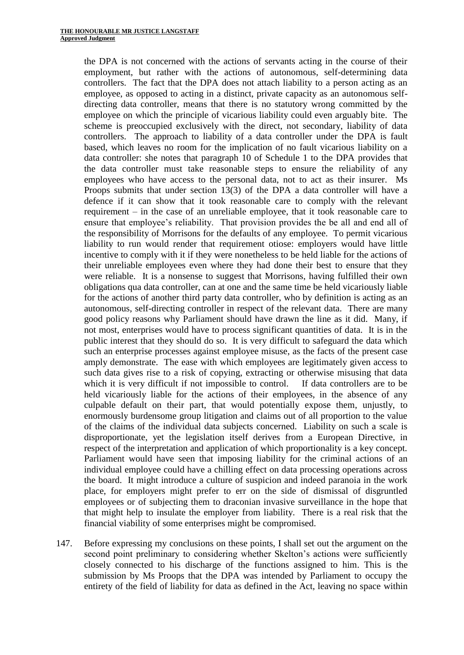the DPA is not concerned with the actions of servants acting in the course of their employment, but rather with the actions of autonomous, self-determining data controllers. The fact that the DPA does not attach liability to a person acting as an employee, as opposed to acting in a distinct, private capacity as an autonomous selfdirecting data controller, means that there is no statutory wrong committed by the employee on which the principle of vicarious liability could even arguably bite. The scheme is preoccupied exclusively with the direct, not secondary, liability of data controllers. The approach to liability of a data controller under the DPA is fault based, which leaves no room for the implication of no fault vicarious liability on a data controller: she notes that paragraph 10 of Schedule 1 to the DPA provides that the data controller must take reasonable steps to ensure the reliability of any employees who have access to the personal data, not to act as their insurer. Ms Proops submits that under section 13(3) of the DPA a data controller will have a defence if it can show that it took reasonable care to comply with the relevant requirement – in the case of an unreliable employee, that it took reasonable care to ensure that employee's reliability. That provision provides the be all and end all of the responsibility of Morrisons for the defaults of any employee. To permit vicarious liability to run would render that requirement otiose: employers would have little incentive to comply with it if they were nonetheless to be held liable for the actions of their unreliable employees even where they had done their best to ensure that they were reliable. It is a nonsense to suggest that Morrisons, having fulfilled their own obligations qua data controller, can at one and the same time be held vicariously liable for the actions of another third party data controller, who by definition is acting as an autonomous, self-directing controller in respect of the relevant data. There are many good policy reasons why Parliament should have drawn the line as it did. Many, if not most, enterprises would have to process significant quantities of data. It is in the public interest that they should do so. It is very difficult to safeguard the data which such an enterprise processes against employee misuse, as the facts of the present case amply demonstrate. The ease with which employees are legitimately given access to such data gives rise to a risk of copying, extracting or otherwise misusing that data which it is very difficult if not impossible to control. If data controllers are to be held vicariously liable for the actions of their employees, in the absence of any culpable default on their part, that would potentially expose them, unjustly, to enormously burdensome group litigation and claims out of all proportion to the value of the claims of the individual data subjects concerned. Liability on such a scale is disproportionate, yet the legislation itself derives from a European Directive, in respect of the interpretation and application of which proportionality is a key concept. Parliament would have seen that imposing liability for the criminal actions of an individual employee could have a chilling effect on data processing operations across the board. It might introduce a culture of suspicion and indeed paranoia in the work place, for employers might prefer to err on the side of dismissal of disgruntled employees or of subjecting them to draconian invasive surveillance in the hope that that might help to insulate the employer from liability. There is a real risk that the financial viability of some enterprises might be compromised.

147. Before expressing my conclusions on these points, I shall set out the argument on the second point preliminary to considering whether Skelton's actions were sufficiently closely connected to his discharge of the functions assigned to him. This is the submission by Ms Proops that the DPA was intended by Parliament to occupy the entirety of the field of liability for data as defined in the Act, leaving no space within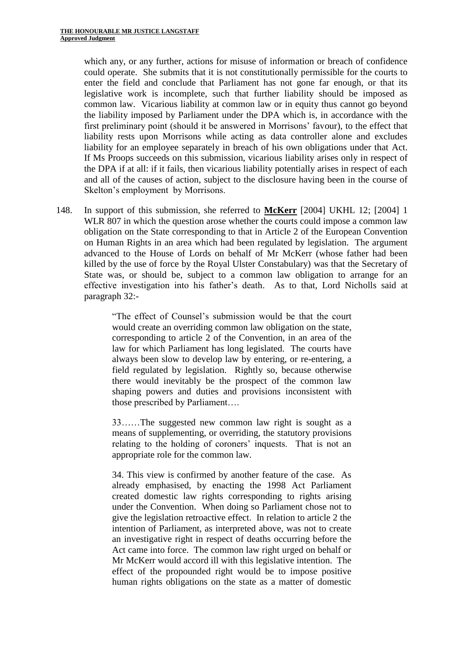which any, or any further, actions for misuse of information or breach of confidence could operate. She submits that it is not constitutionally permissible for the courts to enter the field and conclude that Parliament has not gone far enough, or that its legislative work is incomplete, such that further liability should be imposed as common law. Vicarious liability at common law or in equity thus cannot go beyond the liability imposed by Parliament under the DPA which is, in accordance with the first preliminary point (should it be answered in Morrisons' favour), to the effect that liability rests upon Morrisons while acting as data controller alone and excludes liability for an employee separately in breach of his own obligations under that Act. If Ms Proops succeeds on this submission, vicarious liability arises only in respect of the DPA if at all: if it fails, then vicarious liability potentially arises in respect of each and all of the causes of action, subject to the disclosure having been in the course of Skelton's employment by Morrisons.

148. In support of this submission, she referred to **McKerr** [2004] UKHL 12; [2004] 1 WLR 807 in which the question arose whether the courts could impose a common law obligation on the State corresponding to that in Article 2 of the European Convention on Human Rights in an area which had been regulated by legislation. The argument advanced to the House of Lords on behalf of Mr McKerr (whose father had been killed by the use of force by the Royal Ulster Constabulary) was that the Secretary of State was, or should be, subject to a common law obligation to arrange for an effective investigation into his father's death. As to that, Lord Nicholls said at paragraph 32:-

> "The effect of Counsel's submission would be that the court would create an overriding common law obligation on the state, corresponding to article 2 of the Convention, in an area of the law for which Parliament has long legislated. The courts have always been slow to develop law by entering, or re-entering, a field regulated by legislation. Rightly so, because otherwise there would inevitably be the prospect of the common law shaping powers and duties and provisions inconsistent with those prescribed by Parliament….

> 33……The suggested new common law right is sought as a means of supplementing, or overriding, the statutory provisions relating to the holding of coroners' inquests. That is not an appropriate role for the common law.

> 34. This view is confirmed by another feature of the case. As already emphasised, by enacting the 1998 Act Parliament created domestic law rights corresponding to rights arising under the Convention. When doing so Parliament chose not to give the legislation retroactive effect. In relation to article 2 the intention of Parliament, as interpreted above, was not to create an investigative right in respect of deaths occurring before the Act came into force. The common law right urged on behalf or Mr McKerr would accord ill with this legislative intention. The effect of the propounded right would be to impose positive human rights obligations on the state as a matter of domestic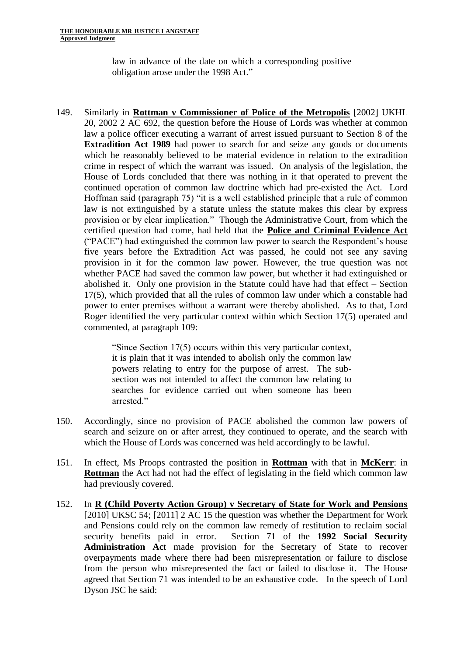law in advance of the date on which a corresponding positive obligation arose under the 1998 Act."

149. Similarly in **Rottman v Commissioner of Police of the Metropolis** [2002] UKHL 20, 2002 2 AC 692, the question before the House of Lords was whether at common law a police officer executing a warrant of arrest issued pursuant to Section 8 of the **Extradition Act 1989** had power to search for and seize any goods or documents which he reasonably believed to be material evidence in relation to the extradition crime in respect of which the warrant was issued. On analysis of the legislation, the House of Lords concluded that there was nothing in it that operated to prevent the continued operation of common law doctrine which had pre-existed the Act. Lord Hoffman said (paragraph 75) "it is a well established principle that a rule of common law is not extinguished by a statute unless the statute makes this clear by express provision or by clear implication." Though the Administrative Court, from which the certified question had come, had held that the **Police and Criminal Evidence Act** ("PACE") had extinguished the common law power to search the Respondent's house five years before the Extradition Act was passed, he could not see any saving provision in it for the common law power. However, the true question was not whether PACE had saved the common law power, but whether it had extinguished or abolished it. Only one provision in the Statute could have had that effect – Section 17(5), which provided that all the rules of common law under which a constable had power to enter premises without a warrant were thereby abolished. As to that, Lord Roger identified the very particular context within which Section 17(5) operated and commented, at paragraph 109:

> "Since Section 17(5) occurs within this very particular context, it is plain that it was intended to abolish only the common law powers relating to entry for the purpose of arrest. The subsection was not intended to affect the common law relating to searches for evidence carried out when someone has been arrested."

- 150. Accordingly, since no provision of PACE abolished the common law powers of search and seizure on or after arrest, they continued to operate, and the search with which the House of Lords was concerned was held accordingly to be lawful.
- 151. In effect, Ms Proops contrasted the position in **Rottman** with that in **McKerr**: in **Rottman** the Act had not had the effect of legislating in the field which common law had previously covered.
- 152. In **R (Child Poverty Action Group) v Secretary of State for Work and Pensions** [2010] UKSC 54; [2011] 2 AC 15 the question was whether the Department for Work and Pensions could rely on the common law remedy of restitution to reclaim social security benefits paid in error. Section 71 of the **1992 Social Security Administration Ac**t made provision for the Secretary of State to recover overpayments made where there had been misrepresentation or failure to disclose from the person who misrepresented the fact or failed to disclose it. The House agreed that Section 71 was intended to be an exhaustive code. In the speech of Lord Dyson JSC he said: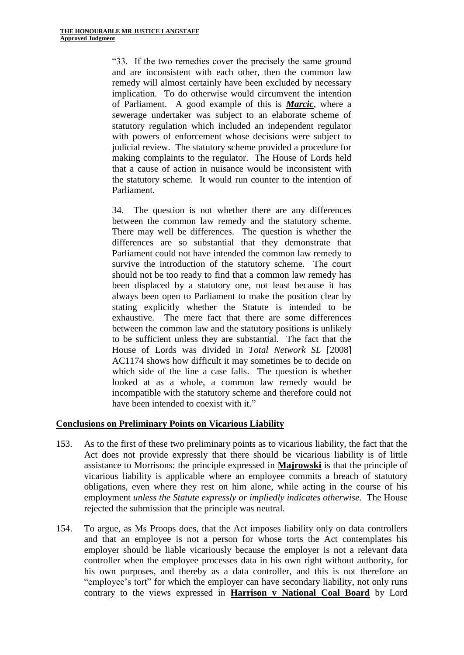"33. If the two remedies cover the precisely the same ground and are inconsistent with each other, then the common law remedy will almost certainly have been excluded by necessary implication. To do otherwise would circumvent the intention of Parliament. A good example of this is *Marcic*, where a sewerage undertaker was subject to an elaborate scheme of statutory regulation which included an independent regulator with powers of enforcement whose decisions were subject to judicial review. The statutory scheme provided a procedure for making complaints to the regulator. The House of Lords held that a cause of action in nuisance would be inconsistent with the statutory scheme. It would run counter to the intention of Parliament.

34. The question is not whether there are any differences between the common law remedy and the statutory scheme. There may well be differences. The question is whether the differences are so substantial that they demonstrate that Parliament could not have intended the common law remedy to survive the introduction of the statutory scheme. The court should not be too ready to find that a common law remedy has been displaced by a statutory one, not least because it has always been open to Parliament to make the position clear by stating explicitly whether the Statute is intended to be exhaustive. The mere fact that there are some differences between the common law and the statutory positions is unlikely to be sufficient unless they are substantial. The fact that the House of Lords was divided in *Total Network SL* [2008] AC1174 shows how difficult it may sometimes be to decide on which side of the line a case falls. The question is whether looked at as a whole, a common law remedy would be incompatible with the statutory scheme and therefore could not have been intended to coexist with it."

## **Conclusions on Preliminary Points on Vicarious Liability**

- 153. As to the first of these two preliminary points as to vicarious liability, the fact that the Act does not provide expressly that there should be vicarious liability is of little assistance to Morrisons: the principle expressed in **Majrowski** is that the principle of vicarious liability is applicable where an employee commits a breach of statutory obligations, even where they rest on him alone, while acting in the course of his employment *unless the Statute expressly or impliedly indicates otherwise.* The House rejected the submission that the principle was neutral.
- 154. To argue, as Ms Proops does, that the Act imposes liability only on data controllers and that an employee is not a person for whose torts the Act contemplates his employer should be liable vicariously because the employer is not a relevant data controller when the employee processes data in his own right without authority, for his own purposes, and thereby as a data controller, and this is not therefore an "employee's tort" for which the employer can have secondary liability, not only runs contrary to the views expressed in **Harrison v National Coal Board** by Lord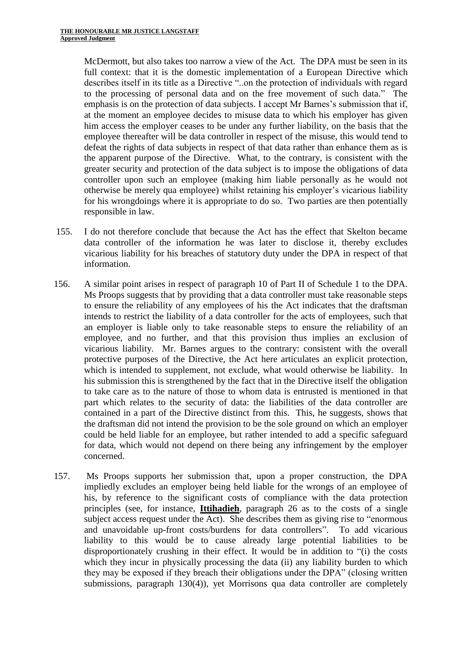McDermott, but also takes too narrow a view of the Act. The DPA must be seen in its full context: that it is the domestic implementation of a European Directive which describes itself in its title as a Directive "..on the protection of individuals with regard to the processing of personal data and on the free movement of such data." The emphasis is on the protection of data subjects. I accept Mr Barnes's submission that if, at the moment an employee decides to misuse data to which his employer has given him access the employer ceases to be under any further liability, on the basis that the employee thereafter will be data controller in respect of the misuse, this would tend to defeat the rights of data subjects in respect of that data rather than enhance them as is the apparent purpose of the Directive. What, to the contrary, is consistent with the greater security and protection of the data subject is to impose the obligations of data controller upon such an employee (making him liable personally as he would not otherwise be merely qua employee) whilst retaining his employer's vicarious liability for his wrongdoings where it is appropriate to do so. Two parties are then potentially responsible in law.

- 155. I do not therefore conclude that because the Act has the effect that Skelton became data controller of the information he was later to disclose it, thereby excludes vicarious liability for his breaches of statutory duty under the DPA in respect of that information.
- 156. A similar point arises in respect of paragraph 10 of Part II of Schedule 1 to the DPA. Ms Proops suggests that by providing that a data controller must take reasonable steps to ensure the reliability of any employees of his the Act indicates that the draftsman intends to restrict the liability of a data controller for the acts of employees, such that an employer is liable only to take reasonable steps to ensure the reliability of an employee, and no further, and that this provision thus implies an exclusion of vicarious liability. Mr. Barnes argues to the contrary: consistent with the overall protective purposes of the Directive, the Act here articulates an explicit protection, which is intended to supplement, not exclude, what would otherwise be liability. In his submission this is strengthened by the fact that in the Directive itself the obligation to take care as to the nature of those to whom data is entrusted is mentioned in that part which relates to the security of data: the liabilities of the data controller are contained in a part of the Directive distinct from this. This, he suggests, shows that the draftsman did not intend the provision to be the sole ground on which an employer could be held liable for an employee, but rather intended to add a specific safeguard for data, which would not depend on there being any infringement by the employer concerned.
- 157. Ms Proops supports her submission that, upon a proper construction, the DPA impliedly excludes an employer being held liable for the wrongs of an employee of his, by reference to the significant costs of compliance with the data protection principles (see, for instance, **Ittihadieh**, paragraph 26 as to the costs of a single subject access request under the Act). She describes them as giving rise to "enormous and unavoidable up-front costs/burdens for data controllers". To add vicarious liability to this would be to cause already large potential liabilities to be disproportionately crushing in their effect. It would be in addition to "(i) the costs which they incur in physically processing the data (ii) any liability burden to which they may be exposed if they breach their obligations under the DPA" (closing written submissions, paragraph 130(4)), yet Morrisons qua data controller are completely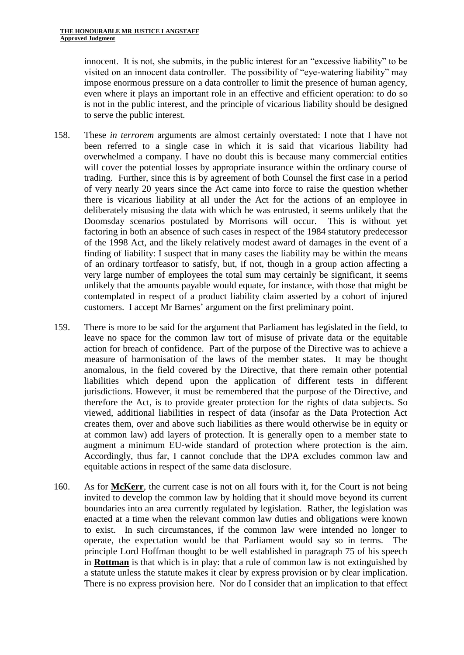innocent. It is not, she submits, in the public interest for an "excessive liability" to be visited on an innocent data controller. The possibility of "eye-watering liability" may impose enormous pressure on a data controller to limit the presence of human agency, even where it plays an important role in an effective and efficient operation: to do so is not in the public interest, and the principle of vicarious liability should be designed to serve the public interest.

- 158. These *in terrorem* arguments are almost certainly overstated: I note that I have not been referred to a single case in which it is said that vicarious liability had overwhelmed a company. I have no doubt this is because many commercial entities will cover the potential losses by appropriate insurance within the ordinary course of trading. Further, since this is by agreement of both Counsel the first case in a period of very nearly 20 years since the Act came into force to raise the question whether there is vicarious liability at all under the Act for the actions of an employee in deliberately misusing the data with which he was entrusted, it seems unlikely that the Doomsday scenarios postulated by Morrisons will occur. This is without yet factoring in both an absence of such cases in respect of the 1984 statutory predecessor of the 1998 Act, and the likely relatively modest award of damages in the event of a finding of liability: I suspect that in many cases the liability may be within the means of an ordinary tortfeasor to satisfy, but, if not, though in a group action affecting a very large number of employees the total sum may certainly be significant, it seems unlikely that the amounts payable would equate, for instance, with those that might be contemplated in respect of a product liability claim asserted by a cohort of injured customers. I accept Mr Barnes' argument on the first preliminary point.
- 159. There is more to be said for the argument that Parliament has legislated in the field, to leave no space for the common law tort of misuse of private data or the equitable action for breach of confidence. Part of the purpose of the Directive was to achieve a measure of harmonisation of the laws of the member states. It may be thought anomalous, in the field covered by the Directive, that there remain other potential liabilities which depend upon the application of different tests in different jurisdictions. However, it must be remembered that the purpose of the Directive, and therefore the Act, is to provide greater protection for the rights of data subjects. So viewed, additional liabilities in respect of data (insofar as the Data Protection Act creates them, over and above such liabilities as there would otherwise be in equity or at common law) add layers of protection. It is generally open to a member state to augment a minimum EU-wide standard of protection where protection is the aim. Accordingly, thus far, I cannot conclude that the DPA excludes common law and equitable actions in respect of the same data disclosure.
- 160. As for **McKerr**, the current case is not on all fours with it, for the Court is not being invited to develop the common law by holding that it should move beyond its current boundaries into an area currently regulated by legislation. Rather, the legislation was enacted at a time when the relevant common law duties and obligations were known to exist. In such circumstances, if the common law were intended no longer to operate, the expectation would be that Parliament would say so in terms. The principle Lord Hoffman thought to be well established in paragraph 75 of his speech in **Rottman** is that which is in play: that a rule of common law is not extinguished by a statute unless the statute makes it clear by express provision or by clear implication. There is no express provision here. Nor do I consider that an implication to that effect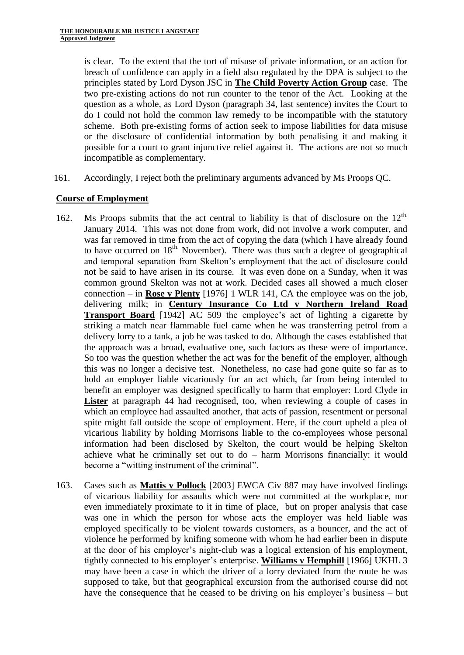is clear. To the extent that the tort of misuse of private information, or an action for breach of confidence can apply in a field also regulated by the DPA is subject to the principles stated by Lord Dyson JSC in **The Child Poverty Action Group** case. The two pre-existing actions do not run counter to the tenor of the Act. Looking at the question as a whole, as Lord Dyson (paragraph 34, last sentence) invites the Court to do I could not hold the common law remedy to be incompatible with the statutory scheme. Both pre-existing forms of action seek to impose liabilities for data misuse or the disclosure of confidential information by both penalising it and making it possible for a court to grant injunctive relief against it. The actions are not so much incompatible as complementary.

161. Accordingly, I reject both the preliminary arguments advanced by Ms Proops QC.

## **Course of Employment**

- 162. Ms Proops submits that the act central to liability is that of disclosure on the  $12<sup>th</sup>$ . January 2014. This was not done from work, did not involve a work computer, and was far removed in time from the act of copying the data (which I have already found to have occurred on  $18<sup>th</sup>$ . November). There was thus such a degree of geographical and temporal separation from Skelton's employment that the act of disclosure could not be said to have arisen in its course. It was even done on a Sunday, when it was common ground Skelton was not at work. Decided cases all showed a much closer connection – in **Rose v Plenty** [1976] 1 WLR 141, CA the employee was on the job, delivering milk; in **Century Insurance Co Ltd v Northern Ireland Road Transport Board** [1942] AC 509 the employee's act of lighting a cigarette by striking a match near flammable fuel came when he was transferring petrol from a delivery lorry to a tank, a job he was tasked to do. Although the cases established that the approach was a broad, evaluative one, such factors as these were of importance. So too was the question whether the act was for the benefit of the employer, although this was no longer a decisive test. Nonetheless, no case had gone quite so far as to hold an employer liable vicariously for an act which, far from being intended to benefit an employer was designed specifically to harm that employer: Lord Clyde in Lister at paragraph 44 had recognised, too, when reviewing a couple of cases in which an employee had assaulted another, that acts of passion, resentment or personal spite might fall outside the scope of employment. Here, if the court upheld a plea of vicarious liability by holding Morrisons liable to the co-employees whose personal information had been disclosed by Skelton, the court would be helping Skelton achieve what he criminally set out to do – harm Morrisons financially: it would become a "witting instrument of the criminal".
- 163. Cases such as **Mattis v Pollock** [2003] EWCA Civ 887 may have involved findings of vicarious liability for assaults which were not committed at the workplace, nor even immediately proximate to it in time of place, but on proper analysis that case was one in which the person for whose acts the employer was held liable was employed specifically to be violent towards customers, as a bouncer, and the act of violence he performed by knifing someone with whom he had earlier been in dispute at the door of his employer's night-club was a logical extension of his employment, tightly connected to his employer's enterprise. **Williams v Hemphill** [1966] UKHL 3 may have been a case in which the driver of a lorry deviated from the route he was supposed to take, but that geographical excursion from the authorised course did not have the consequence that he ceased to be driving on his employer's business – but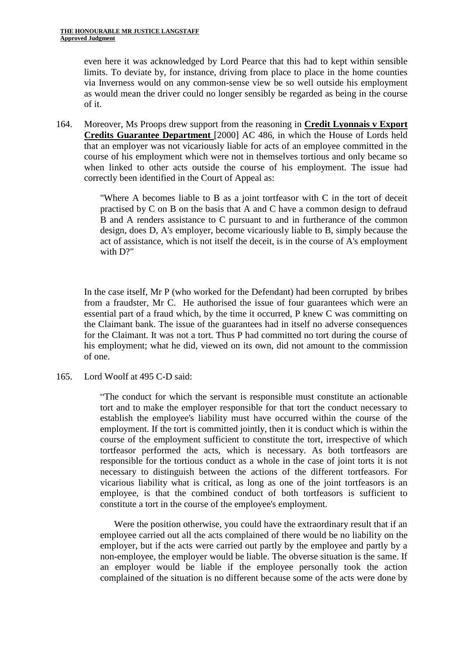even here it was acknowledged by Lord Pearce that this had to kept within sensible limits. To deviate by, for instance, driving from place to place in the home counties via Inverness would on any common-sense view be so well outside his employment as would mean the driver could no longer sensibly be regarded as being in the course of it.

164. Moreover, Ms Proops drew support from the reasoning in **Credit Lyonnais v Export Credits Guarantee Department** [2000] AC 486, in which the House of Lords held that an employer was not vicariously liable for acts of an employee committed in the course of his employment which were not in themselves tortious and only became so when linked to other acts outside the course of his employment. The issue had correctly been identified in the Court of Appeal as:

> "Where A becomes liable to B as a joint tortfeasor with C in the tort of deceit practised by C on B on the basis that A and C have a common design to defraud B and A renders assistance to C pursuant to and in furtherance of the common design, does D, A's employer, become vicariously liable to B, simply because the act of assistance, which is not itself the deceit, is in the course of A's employment with D?"

In the case itself, Mr P (who worked for the Defendant) had been corrupted by bribes from a fraudster, Mr C. He authorised the issue of four guarantees which were an essential part of a fraud which, by the time it occurred, P knew C was committing on the Claimant bank. The issue of the guarantees had in itself no adverse consequences for the Claimant. It was not a tort. Thus P had committed no tort during the course of his employment; what he did, viewed on its own, did not amount to the commission of one.

165. Lord Woolf at 495 C-D said:

"The conduct for which the servant is responsible must constitute an actionable tort and to make the employer responsible for that tort the conduct necessary to establish the employee's liability must have occurred within the course of the employment. If the tort is committed jointly, then it is conduct which is within the course of the employment sufficient to constitute the tort, irrespective of which tortfeasor performed the acts, which is necessary. As both tortfeasors are responsible for the tortious conduct as a whole in the case of joint torts it is not necessary to distinguish between the actions of the different tortfeasors. For vicarious liability what is critical, as long as one of the joint tortfeasors is an employee, is that the combined conduct of both tortfeasors is sufficient to constitute a tort in the course of the employee's employment.

 Were the position otherwise, you could have the extraordinary result that if an employee carried out all the acts complained of there would be no liability on the employer, but if the acts were carried out partly by the employee and partly by a non-employee, the employer would be liable. The obverse situation is the same. If an employer would be liable if the employee personally took the action complained of the situation is no different because some of the acts were done by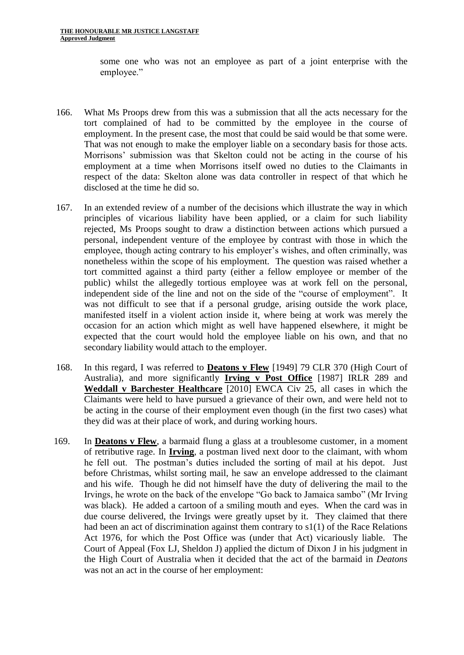some one who was not an employee as part of a joint enterprise with the employee."

- 166. What Ms Proops drew from this was a submission that all the acts necessary for the tort complained of had to be committed by the employee in the course of employment. In the present case, the most that could be said would be that some were. That was not enough to make the employer liable on a secondary basis for those acts. Morrisons' submission was that Skelton could not be acting in the course of his employment at a time when Morrisons itself owed no duties to the Claimants in respect of the data: Skelton alone was data controller in respect of that which he disclosed at the time he did so.
- 167. In an extended review of a number of the decisions which illustrate the way in which principles of vicarious liability have been applied, or a claim for such liability rejected, Ms Proops sought to draw a distinction between actions which pursued a personal, independent venture of the employee by contrast with those in which the employee, though acting contrary to his employer's wishes, and often criminally, was nonetheless within the scope of his employment. The question was raised whether a tort committed against a third party (either a fellow employee or member of the public) whilst the allegedly tortious employee was at work fell on the personal, independent side of the line and not on the side of the "course of employment". It was not difficult to see that if a personal grudge, arising outside the work place, manifested itself in a violent action inside it, where being at work was merely the occasion for an action which might as well have happened elsewhere, it might be expected that the court would hold the employee liable on his own, and that no secondary liability would attach to the employer.
- 168. In this regard, I was referred to **Deatons v Flew** [1949] 79 CLR 370 (High Court of Australia), and more significantly **Irving v Post Office** [1987] IRLR 289 and **Weddall v Barchester Healthcare** [2010] EWCA Civ 25, all cases in which the Claimants were held to have pursued a grievance of their own, and were held not to be acting in the course of their employment even though (in the first two cases) what they did was at their place of work, and during working hours.
- 169. In **Deatons v Flew**, a barmaid flung a glass at a troublesome customer, in a moment of retributive rage. In **Irving***,* a postman lived next door to the claimant, with whom he fell out. The postman's duties included the sorting of mail at his depot. Just before Christmas, whilst sorting mail, he saw an envelope addressed to the claimant and his wife. Though he did not himself have the duty of delivering the mail to the Irvings, he wrote on the back of the envelope "Go back to Jamaica sambo" (Mr Irving was black). He added a cartoon of a smiling mouth and eyes. When the card was in due course delivered, the Irvings were greatly upset by it. They claimed that there had been an act of discrimination against them contrary to s1(1) of the Race Relations Act 1976, for which the Post Office was (under that Act) vicariously liable. The Court of Appeal (Fox LJ, Sheldon J) applied the dictum of Dixon J in his judgment in the High Court of Australia when it decided that the act of the barmaid in *Deatons* was not an act in the course of her employment: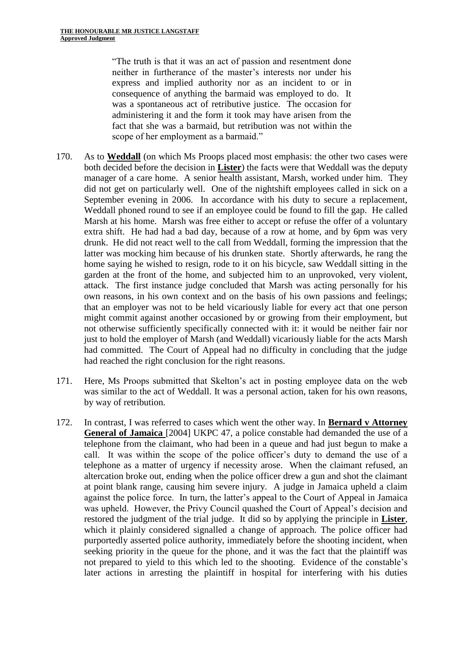"The truth is that it was an act of passion and resentment done neither in furtherance of the master's interests nor under his express and implied authority nor as an incident to or in consequence of anything the barmaid was employed to do. It was a spontaneous act of retributive justice. The occasion for administering it and the form it took may have arisen from the fact that she was a barmaid, but retribution was not within the scope of her employment as a barmaid."

- 170. As to **Weddall** (on which Ms Proops placed most emphasis: the other two cases were both decided before the decision in **Lister**) the facts were that Weddall was the deputy manager of a care home. A senior health assistant, Marsh, worked under him. They did not get on particularly well. One of the nightshift employees called in sick on a September evening in 2006. In accordance with his duty to secure a replacement, Weddall phoned round to see if an employee could be found to fill the gap. He called Marsh at his home. Marsh was free either to accept or refuse the offer of a voluntary extra shift. He had had a bad day, because of a row at home, and by 6pm was very drunk. He did not react well to the call from Weddall, forming the impression that the latter was mocking him because of his drunken state. Shortly afterwards, he rang the home saying he wished to resign, rode to it on his bicycle, saw Weddall sitting in the garden at the front of the home, and subjected him to an unprovoked, very violent, attack. The first instance judge concluded that Marsh was acting personally for his own reasons, in his own context and on the basis of his own passions and feelings; that an employer was not to be held vicariously liable for every act that one person might commit against another occasioned by or growing from their employment, but not otherwise sufficiently specifically connected with it: it would be neither fair nor just to hold the employer of Marsh (and Weddall) vicariously liable for the acts Marsh had committed. The Court of Appeal had no difficulty in concluding that the judge had reached the right conclusion for the right reasons.
- 171. Here, Ms Proops submitted that Skelton's act in posting employee data on the web was similar to the act of Weddall. It was a personal action, taken for his own reasons, by way of retribution.
- 172. In contrast, I was referred to cases which went the other way. In **Bernard v Attorney General of Jamaica** [2004] UKPC 47, a police constable had demanded the use of a telephone from the claimant, who had been in a queue and had just begun to make a call. It was within the scope of the police officer's duty to demand the use of a telephone as a matter of urgency if necessity arose. When the claimant refused, an altercation broke out, ending when the police officer drew a gun and shot the claimant at point blank range, causing him severe injury. A judge in Jamaica upheld a claim against the police force. In turn, the latter's appeal to the Court of Appeal in Jamaica was upheld. However, the Privy Council quashed the Court of Appeal's decision and restored the judgment of the trial judge. It did so by applying the principle in **Lister***,*  which it plainly considered signalled a change of approach*.* The police officer had purportedly asserted police authority, immediately before the shooting incident, when seeking priority in the queue for the phone, and it was the fact that the plaintiff was not prepared to yield to this which led to the shooting. Evidence of the constable's later actions in arresting the plaintiff in hospital for interfering with his duties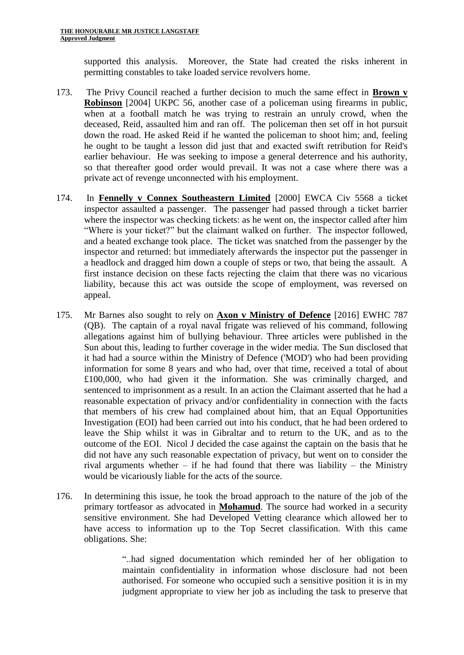supported this analysis. Moreover, the State had created the risks inherent in permitting constables to take loaded service revolvers home.

- 173. The Privy Council reached a further decision to much the same effect in **Brown v Robinson** [2004] UKPC 56, another case of a policeman using firearms in public, when at a football match he was trying to restrain an unruly crowd, when the deceased, Reid, assaulted him and ran off. The policeman then set off in hot pursuit down the road. He asked Reid if he wanted the policeman to shoot him; and, feeling he ought to be taught a lesson did just that and exacted swift retribution for Reid's earlier behaviour. He was seeking to impose a general deterrence and his authority, so that thereafter good order would prevail. It was not a case where there was a private act of revenge unconnected with his employment.
- 174. In **Fennelly v Connex Southeastern Limited** [2000] EWCA Civ 5568 a ticket inspector assaulted a passenger. The passenger had passed through a ticket barrier where the inspector was checking tickets: as he went on, the inspector called after him "Where is your ticket?" but the claimant walked on further. The inspector followed, and a heated exchange took place. The ticket was snatched from the passenger by the inspector and returned: but immediately afterwards the inspector put the passenger in a headlock and dragged him down a couple of steps or two, that being the assault. A first instance decision on these facts rejecting the claim that there was no vicarious liability, because this act was outside the scope of employment, was reversed on appeal.
- 175. Mr Barnes also sought to rely on **Axon v Ministry of Defence** [2016] EWHC 787 (QB). The captain of a royal naval frigate was relieved of his command, following allegations against him of bullying behaviour. Three articles were published in the Sun about this, leading to further coverage in the wider media. The Sun disclosed that it had had a source within the Ministry of Defence ('MOD') who had been providing information for some 8 years and who had, over that time, received a total of about £100,000, who had given it the information. She was criminally charged, and sentenced to imprisonment as a result. In an action the Claimant asserted that he had a reasonable expectation of privacy and/or confidentiality in connection with the facts that members of his crew had complained about him, that an Equal Opportunities Investigation (EOI) had been carried out into his conduct, that he had been ordered to leave the Ship whilst it was in Gibraltar and to return to the UK, and as to the outcome of the EOI. Nicol J decided the case against the captain on the basis that he did not have any such reasonable expectation of privacy, but went on to consider the rival arguments whether  $-$  if he had found that there was liability  $-$  the Ministry would be vicariously liable for the acts of the source.
- 176. In determining this issue, he took the broad approach to the nature of the job of the primary tortfeasor as advocated in **Mohamud**. The source had worked in a security sensitive environment. She had Developed Vetting clearance which allowed her to have access to information up to the Top Secret classification. With this came obligations. She:

"..had signed documentation which reminded her of her obligation to maintain confidentiality in information whose disclosure had not been authorised. For someone who occupied such a sensitive position it is in my judgment appropriate to view her job as including the task to preserve that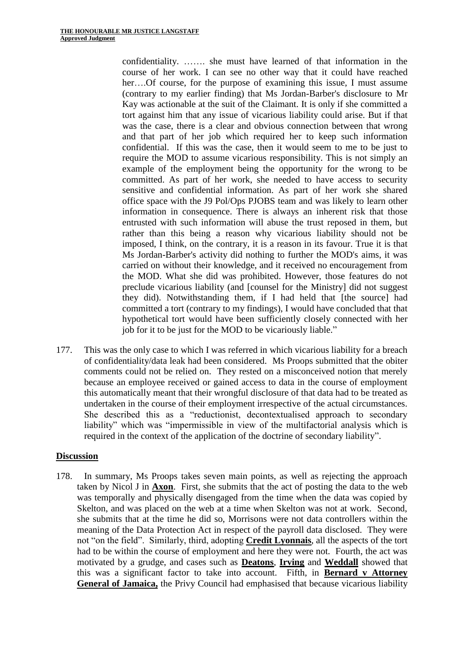confidentiality. ……. she must have learned of that information in the course of her work. I can see no other way that it could have reached her….Of course, for the purpose of examining this issue, I must assume (contrary to my earlier finding) that Ms Jordan-Barber's disclosure to Mr Kay was actionable at the suit of the Claimant. It is only if she committed a tort against him that any issue of vicarious liability could arise. But if that was the case, there is a clear and obvious connection between that wrong and that part of her job which required her to keep such information confidential. If this was the case, then it would seem to me to be just to require the MOD to assume vicarious responsibility. This is not simply an example of the employment being the opportunity for the wrong to be committed. As part of her work, she needed to have access to security sensitive and confidential information. As part of her work she shared office space with the J9 Pol/Ops PJOBS team and was likely to learn other information in consequence. There is always an inherent risk that those entrusted with such information will abuse the trust reposed in them, but rather than this being a reason why vicarious liability should not be imposed, I think, on the contrary, it is a reason in its favour. True it is that Ms Jordan-Barber's activity did nothing to further the MOD's aims, it was carried on without their knowledge, and it received no encouragement from the MOD. What she did was prohibited. However, those features do not preclude vicarious liability (and [counsel for the Ministry] did not suggest they did). Notwithstanding them, if I had held that [the source] had committed a tort (contrary to my findings), I would have concluded that that hypothetical tort would have been sufficiently closely connected with her job for it to be just for the MOD to be vicariously liable."

177. This was the only case to which I was referred in which vicarious liability for a breach of confidentiality/data leak had been considered. Ms Proops submitted that the obiter comments could not be relied on. They rested on a misconceived notion that merely because an employee received or gained access to data in the course of employment this automatically meant that their wrongful disclosure of that data had to be treated as undertaken in the course of their employment irrespective of the actual circumstances. She described this as a "reductionist, decontextualised approach to secondary liability" which was "impermissible in view of the multifactorial analysis which is required in the context of the application of the doctrine of secondary liability".

## **Discussion**

178. In summary, Ms Proops takes seven main points, as well as rejecting the approach taken by Nicol J in **Axon**. First, she submits that the act of posting the data to the web was temporally and physically disengaged from the time when the data was copied by Skelton, and was placed on the web at a time when Skelton was not at work. Second, she submits that at the time he did so, Morrisons were not data controllers within the meaning of the Data Protection Act in respect of the payroll data disclosed. They were not "on the field". Similarly, third, adopting **Credit Lyonnais**, all the aspects of the tort had to be within the course of employment and here they were not. Fourth, the act was motivated by a grudge, and cases such as **Deatons***,* **Irving** and **Weddall** showed that this was a significant factor to take into account. Fifth, in **Bernard v Attorney General of Jamaica,** the Privy Council had emphasised that because vicarious liability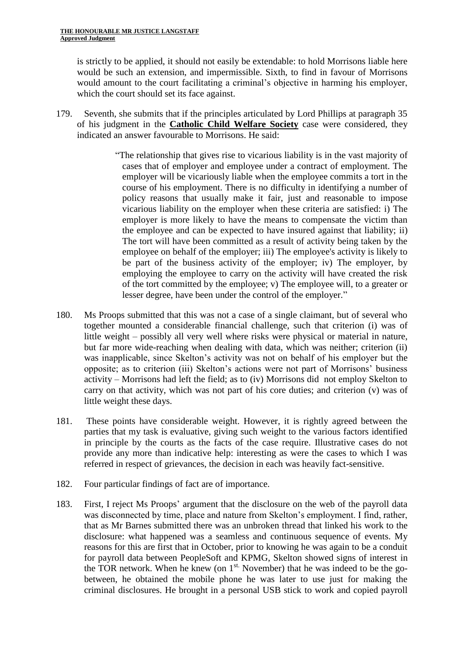is strictly to be applied, it should not easily be extendable: to hold Morrisons liable here would be such an extension, and impermissible. Sixth, to find in favour of Morrisons would amount to the court facilitating a criminal's objective in harming his employer, which the court should set its face against.

- 179. Seventh, she submits that if the principles articulated by Lord Phillips at paragraph 35 of his judgment in the **Catholic Child Welfare Society** case were considered, they indicated an answer favourable to Morrisons. He said:
	- "The relationship that gives rise to vicarious liability is in the vast majority of cases that of employer and employee under a contract of employment. The employer will be vicariously liable when the employee commits a tort in the course of his employment. There is no difficulty in identifying a number of policy reasons that usually make it fair, just and reasonable to impose vicarious liability on the employer when these criteria are satisfied: i) The employer is more likely to have the means to compensate the victim than the employee and can be expected to have insured against that liability; ii) The tort will have been committed as a result of activity being taken by the employee on behalf of the employer; iii) The employee's activity is likely to be part of the business activity of the employer; iv) The employer, by employing the employee to carry on the activity will have created the risk of the tort committed by the employee; v) The employee will, to a greater or lesser degree, have been under the control of the employer."
- 180. Ms Proops submitted that this was not a case of a single claimant, but of several who together mounted a considerable financial challenge, such that criterion (i) was of little weight – possibly all very well where risks were physical or material in nature, but far more wide-reaching when dealing with data, which was neither; criterion (ii) was inapplicable, since Skelton's activity was not on behalf of his employer but the opposite; as to criterion (iii) Skelton's actions were not part of Morrisons' business activity – Morrisons had left the field; as to (iv) Morrisons did not employ Skelton to carry on that activity, which was not part of his core duties; and criterion (v) was of little weight these days.
- 181. These points have considerable weight. However, it is rightly agreed between the parties that my task is evaluative, giving such weight to the various factors identified in principle by the courts as the facts of the case require. Illustrative cases do not provide any more than indicative help: interesting as were the cases to which I was referred in respect of grievances, the decision in each was heavily fact-sensitive.
- 182. Four particular findings of fact are of importance.
- 183. First, I reject Ms Proops' argument that the disclosure on the web of the payroll data was disconnected by time, place and nature from Skelton's employment. I find, rather, that as Mr Barnes submitted there was an unbroken thread that linked his work to the disclosure: what happened was a seamless and continuous sequence of events. My reasons for this are first that in October, prior to knowing he was again to be a conduit for payroll data between PeopleSoft and KPMG, Skelton showed signs of interest in the TOR network. When he knew (on  $1^{st}$  November) that he was indeed to be the gobetween, he obtained the mobile phone he was later to use just for making the criminal disclosures. He brought in a personal USB stick to work and copied payroll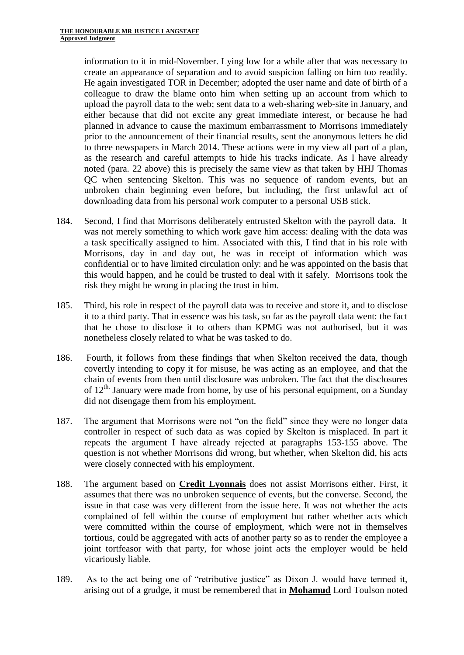information to it in mid-November. Lying low for a while after that was necessary to create an appearance of separation and to avoid suspicion falling on him too readily. He again investigated TOR in December; adopted the user name and date of birth of a colleague to draw the blame onto him when setting up an account from which to upload the payroll data to the web; sent data to a web-sharing web-site in January, and either because that did not excite any great immediate interest, or because he had planned in advance to cause the maximum embarrassment to Morrisons immediately prior to the announcement of their financial results, sent the anonymous letters he did to three newspapers in March 2014. These actions were in my view all part of a plan, as the research and careful attempts to hide his tracks indicate. As I have already noted (para. 22 above) this is precisely the same view as that taken by HHJ Thomas QC when sentencing Skelton. This was no sequence of random events, but an unbroken chain beginning even before, but including, the first unlawful act of downloading data from his personal work computer to a personal USB stick.

- 184. Second, I find that Morrisons deliberately entrusted Skelton with the payroll data. It was not merely something to which work gave him access: dealing with the data was a task specifically assigned to him. Associated with this, I find that in his role with Morrisons, day in and day out, he was in receipt of information which was confidential or to have limited circulation only: and he was appointed on the basis that this would happen, and he could be trusted to deal with it safely. Morrisons took the risk they might be wrong in placing the trust in him.
- 185. Third, his role in respect of the payroll data was to receive and store it, and to disclose it to a third party. That in essence was his task, so far as the payroll data went: the fact that he chose to disclose it to others than KPMG was not authorised, but it was nonetheless closely related to what he was tasked to do.
- 186. Fourth, it follows from these findings that when Skelton received the data, though covertly intending to copy it for misuse, he was acting as an employee, and that the chain of events from then until disclosure was unbroken. The fact that the disclosures of  $12<sup>th</sup>$  January were made from home, by use of his personal equipment, on a Sunday did not disengage them from his employment.
- 187. The argument that Morrisons were not "on the field" since they were no longer data controller in respect of such data as was copied by Skelton is misplaced. In part it repeats the argument I have already rejected at paragraphs 153-155 above. The question is not whether Morrisons did wrong, but whether, when Skelton did, his acts were closely connected with his employment.
- 188. The argument based on **Credit Lyonnais** does not assist Morrisons either. First, it assumes that there was no unbroken sequence of events, but the converse. Second, the issue in that case was very different from the issue here. It was not whether the acts complained of fell within the course of employment but rather whether acts which were committed within the course of employment, which were not in themselves tortious, could be aggregated with acts of another party so as to render the employee a joint tortfeasor with that party, for whose joint acts the employer would be held vicariously liable.
- 189. As to the act being one of "retributive justice" as Dixon J. would have termed it, arising out of a grudge, it must be remembered that in **Mohamud** Lord Toulson noted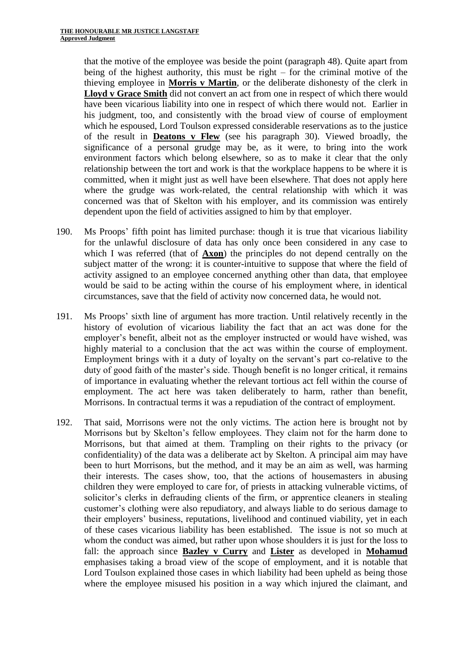that the motive of the employee was beside the point (paragraph 48). Quite apart from being of the highest authority, this must be right – for the criminal motive of the thieving employee in **Morris v Martin**, or the deliberate dishonesty of the clerk in **Lloyd v Grace Smith** did not convert an act from one in respect of which there would have been vicarious liability into one in respect of which there would not. Earlier in his judgment, too, and consistently with the broad view of course of employment which he espoused, Lord Toulson expressed considerable reservations as to the justice of the result in **Deatons v Flew** (see his paragraph 30). Viewed broadly, the significance of a personal grudge may be, as it were, to bring into the work environment factors which belong elsewhere, so as to make it clear that the only relationship between the tort and work is that the workplace happens to be where it is committed, when it might just as well have been elsewhere. That does not apply here where the grudge was work-related, the central relationship with which it was concerned was that of Skelton with his employer, and its commission was entirely dependent upon the field of activities assigned to him by that employer.

- 190. Ms Proops' fifth point has limited purchase: though it is true that vicarious liability for the unlawful disclosure of data has only once been considered in any case to which I was referred (that of **Axon**) the principles do not depend centrally on the subject matter of the wrong: it is counter-intuitive to suppose that where the field of activity assigned to an employee concerned anything other than data, that employee would be said to be acting within the course of his employment where, in identical circumstances, save that the field of activity now concerned data, he would not.
- 191. Ms Proops' sixth line of argument has more traction. Until relatively recently in the history of evolution of vicarious liability the fact that an act was done for the employer's benefit, albeit not as the employer instructed or would have wished, was highly material to a conclusion that the act was within the course of employment. Employment brings with it a duty of loyalty on the servant's part co-relative to the duty of good faith of the master's side. Though benefit is no longer critical, it remains of importance in evaluating whether the relevant tortious act fell within the course of employment. The act here was taken deliberately to harm, rather than benefit, Morrisons. In contractual terms it was a repudiation of the contract of employment.
- 192. That said, Morrisons were not the only victims. The action here is brought not by Morrisons but by Skelton's fellow employees. They claim not for the harm done to Morrisons, but that aimed at them. Trampling on their rights to the privacy (or confidentiality) of the data was a deliberate act by Skelton. A principal aim may have been to hurt Morrisons, but the method, and it may be an aim as well, was harming their interests. The cases show, too, that the actions of housemasters in abusing children they were employed to care for, of priests in attacking vulnerable victims, of solicitor's clerks in defrauding clients of the firm, or apprentice cleaners in stealing customer's clothing were also repudiatory, and always liable to do serious damage to their employers' business, reputations, livelihood and continued viability, yet in each of these cases vicarious liability has been established. The issue is not so much at whom the conduct was aimed, but rather upon whose shoulders it is just for the loss to fall: the approach since **Bazley v Curry** and **Lister** as developed in **Mohamud** emphasises taking a broad view of the scope of employment, and it is notable that Lord Toulson explained those cases in which liability had been upheld as being those where the employee misused his position in a way which injured the claimant, and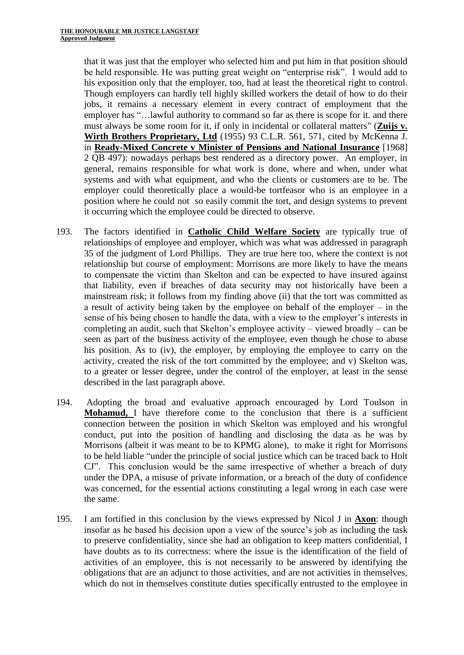that it was just that the employer who selected him and put him in that position should be held responsible. He was putting great weight on "enterprise risk". I would add to his exposition only that the employer, too, had at least the theoretical right to control. Though employers can hardly tell highly skilled workers the detail of how to do their jobs, it remains a necessary element in every contract of employment that the employer has "…lawful authority to command so far as there is scope for it. and there must always be some room for it, if only in incidental or collateral matters" (**Zuijs v. Wirth Brothers Proprietary, Ltd** (1955) 93 C.L.R. 561, 571, cited by McKenna J. in **Ready-Mixed Concrete v Minister of Pensions and National Insurance** [1968] 2 QB 497): nowadays perhaps best rendered as a directory power. An employer, in general, remains responsible for what work is done, where and when, under what systems and with what equipment, and who the clients or customers are to be. The employer could theoretically place a would-be tortfeasor who is an employee in a position where he could not so easily commit the tort, and design systems to prevent it occurring which the employee could be directed to observe.

- 193. The factors identified in **Catholic Child Welfare Society** are typically true of relationships of employee and employer, which was what was addressed in paragraph 35 of the judgment of Lord Phillips. They are true here too, where the context is not relationship but course of employment: Morrisons are more likely to have the means to compensate the victim than Skelton and can be expected to have insured against that liability, even if breaches of data security may not historically have been a mainstream risk; it follows from my finding above (ii) that the tort was committed as a result of activity being taken by the employee on behalf of the employer – in the sense of his being chosen to handle the data, with a view to the employer's interests in completing an audit, such that Skelton's employee activity – viewed broadly – can be seen as part of the business activity of the employee, even though he chose to abuse his position. As to (iv), the employer, by employing the employee to carry on the activity, created the risk of the tort committed by the employee; and v) Skelton was, to a greater or lesser degree, under the control of the employer, at least in the sense described in the last paragraph above.
- 194. Adopting the broad and evaluative approach encouraged by Lord Toulson in **Mohamud,** I have therefore come to the conclusion that there is a sufficient connection between the position in which Skelton was employed and his wrongful conduct, put into the position of handling and disclosing the data as he was by Morrisons (albeit it was meant to be to KPMG alone), to make it right for Morrisons to be held liable "under the principle of social justice which can be traced back to Holt CJ". This conclusion would be the same irrespective of whether a breach of duty under the DPA, a misuse of private information, or a breach of the duty of confidence was concerned, for the essential actions constituting a legal wrong in each case were the same.
- 195. I am fortified in this conclusion by the views expressed by Nicol J in **Axon**: though insofar as he based his decision upon a view of the source's job as including the task to preserve confidentiality, since she had an obligation to keep matters confidential, I have doubts as to its correctness: where the issue is the identification of the field of activities of an employee, this is not necessarily to be answered by identifying the obligations that are an adjunct to those activities, and are not activities in themselves, which do not in themselves constitute duties specifically entrusted to the employee in